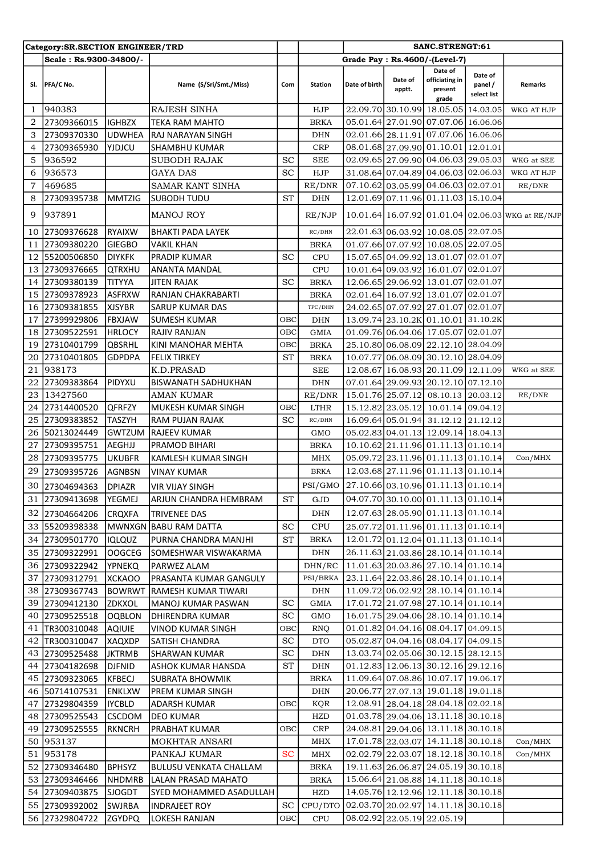|     | Category:SR.SECTION ENGINEER/TRD |               |                               |                     |                                             |               | SANC.STRENGT:61<br>Grade Pay: Rs.4600/-(Level-7) |                                               |                                   |                                                   |
|-----|----------------------------------|---------------|-------------------------------|---------------------|---------------------------------------------|---------------|--------------------------------------------------|-----------------------------------------------|-----------------------------------|---------------------------------------------------|
|     | Scale: Rs.9300-34800/-           |               |                               |                     |                                             |               |                                                  |                                               |                                   |                                                   |
| SI. | PFA/C No.                        |               | Name (S/Sri/Smt./Miss)        | Com                 | <b>Station</b>                              | Date of birth | Date of<br>apptt.                                | Date of<br>officiating in<br>present<br>grade | Date of<br>panel /<br>select list | Remarks                                           |
| 1   | 940383                           |               | <b>RAJESH SINHA</b>           |                     | HJP                                         |               |                                                  | 22.09.70 30.10.99 18.05.05 14.03.05           |                                   | WKG AT HJP                                        |
| 2   | 27309366015                      | <b>IGHBZX</b> | TEKA RAM MAHTO                |                     | <b>BRKA</b>                                 |               |                                                  | 05.01.64 27.01.90 07.07.06 16.06.06           |                                   |                                                   |
| 3   | 27309370330                      | <b>UDWHEA</b> | RAJ NARAYAN SINGH             |                     | <b>DHN</b>                                  |               |                                                  | 02.01.66 28.11.91 07.07.06 16.06.06           |                                   |                                                   |
| 4   | 27309365930                      | YJDJCU        | SHAMBHU KUMAR                 |                     | <b>CRP</b>                                  |               |                                                  | 08.01.68 27.09.90 01.10.01 12.01.01           |                                   |                                                   |
| 5   | 936592                           |               | <b>SUBODH RAJAK</b>           | <b>SC</b>           | <b>SEE</b>                                  |               |                                                  | 02.09.65 27.09.90 04.06.03 29.05.03           |                                   | WKG at SEE                                        |
| 6   | 936573                           |               | GAYA DAS                      | <b>SC</b>           | HJP                                         |               |                                                  | 31.08.64 07.04.89 04.06.03 02.06.03           |                                   | WKG AT HJP                                        |
| 7   | 469685                           |               | SAMAR KANT SINHA              |                     | RE/DNR                                      |               |                                                  | 07.10.62 03.05.99 04.06.03 02.07.01           |                                   | RE/DNR                                            |
| 8   | 27309395738                      | <b>MMTZIG</b> | SUBODH TUDU                   | <b>ST</b>           | <b>DHN</b>                                  |               |                                                  | 12.01.69 07.11.96 01.11.03 15.10.04           |                                   |                                                   |
| 9   | 937891                           |               | <b>MANOJ ROY</b>              |                     | RE/NJP                                      |               |                                                  |                                               |                                   | 10.01.64 16.07.92 01.01.04 02.06.03 WKG at RE/NJP |
| 10  | 27309376628                      | <b>RYAIXW</b> | <b>BHAKTI PADA LAYEK</b>      |                     | RC/DHN                                      |               |                                                  | 22.01.63 06.03.92 10.08.05 22.07.05           |                                   |                                                   |
| 11  | 27309380220                      | <b>GIEGBO</b> | VAKIL KHAN                    |                     | <b>BRKA</b>                                 |               |                                                  | 01.07.66 07.07.92 10.08.05 22.07.05           |                                   |                                                   |
| 12  | 55200506850                      | <b>DIYKFK</b> | PRADIP KUMAR                  | <b>SC</b>           | <b>CPU</b>                                  |               |                                                  | 15.07.65 04.09.92 13.01.07 02.01.07           |                                   |                                                   |
| 13  | 27309376665                      | <b>QTRXHU</b> | ANANTA MANDAL                 |                     | <b>CPU</b>                                  |               |                                                  | 10.01.64 09.03.92 16.01.07 02.01.07           |                                   |                                                   |
| 14  | 27309380139                      | <b>TITYYA</b> | <b>JITEN RAJAK</b>            | <b>SC</b>           | <b>BRKA</b>                                 |               |                                                  | 12.06.65 29.06.92 13.01.07 02.01.07           |                                   |                                                   |
| 15  | 27309378923                      | <b>ASFRXW</b> | RANJAN CHAKRABARTI            |                     | <b>BRKA</b>                                 |               |                                                  | 02.01.64 16.07.92 13.01.07 02.01.07           |                                   |                                                   |
| 16  | 27309381855                      | <b>XJSYBR</b> | <b>SARUP KUMAR DAS</b>        |                     | TPC/DHN                                     |               |                                                  | 24.02.65 07.07.92 27.01.07 02.01.07           |                                   |                                                   |
| 17  | 27399929806                      | <b>FBXJAW</b> | SUMESH KUMAR                  | OBC                 | <b>DHN</b>                                  |               |                                                  | 13.09.74 23.10.2K 01.10.01 31.10.2K           |                                   |                                                   |
| 18  | 27309522591                      | <b>HRLOCY</b> | RAJIV RANJAN                  | OBC                 | <b>GMIA</b>                                 |               |                                                  | 01.09.76 06.04.06 17.05.07 02.01.07           |                                   |                                                   |
| 19  | 27310401799                      | <b>QBSRHL</b> | KINI MANOHAR MEHTA            | овс                 | <b>BRKA</b>                                 |               |                                                  | 25.10.80 06.08.09 22.12.10 28.04.09           |                                   |                                                   |
| 20  | 27310401805                      | <b>GDPDPA</b> | FELIX TIRKEY                  | <b>ST</b>           | <b>BRKA</b>                                 |               |                                                  | 10.07.77 06.08.09 30.12.10 28.04.09           |                                   |                                                   |
| 21  | 938173                           |               | K.D.PRASAD                    |                     | <b>SEE</b>                                  |               |                                                  | 12.08.67 16.08.93 20.11.09 12.11.09           |                                   | WKG at SEE                                        |
| 22  | 27309383864                      | PIDYXU        | <b>BISWANATH SADHUKHAN</b>    |                     | <b>DHN</b>                                  |               |                                                  | 07.01.64 29.09.93 20.12.10 07.12.10           |                                   |                                                   |
| 23  | 13427560                         |               | <b>AMAN KUMAR</b>             |                     | RE/DNR                                      |               |                                                  | 15.01.76 25.07.12 08.10.13 20.03.12           |                                   | RE/DNR                                            |
| 24  | 27314400520                      | <b>QFRFZY</b> | MUKESH KUMAR SINGH            | OBC                 | <b>LTHR</b>                                 |               |                                                  | 15.12.82 23.05.12 10.01.14 09.04.12           |                                   |                                                   |
| 25  | 27309383852                      | <b>TASZYH</b> | <b>RAM PUJAN RAJAK</b>        | <b>SC</b>           | RC/DHN                                      |               |                                                  | 16.09.64 05.01.94 31.12.12 21.12.12           |                                   |                                                   |
| 26  | 50213024449                      | <b>GWTZUM</b> | RAJEEV KUMAR                  |                     | GMO                                         |               |                                                  | 05.02.83 04.01.13 12.09.14 18.04.13           |                                   |                                                   |
| 27  | 27309395751                      | AEGHJJ        | PRAMOD BIHARI                 |                     | <b>BRKA</b>                                 |               |                                                  | 10.10.62 21.11.96 01.11.13 01.10.14           |                                   |                                                   |
| 28  | 27309395775                      | UKUBFR        | KAMLESH KUMAR SINGH           |                     | <b>MHX</b>                                  |               |                                                  | 05.09.72 23.11.96 01.11.13 01.10.14           |                                   | Con/MHX                                           |
| 29  | 27309395726                      | <b>AGNBSN</b> | <b>VINAY KUMAR</b>            |                     | <b>BRKA</b>                                 |               |                                                  | 12.03.68 27.11.96 01.11.13 01.10.14           |                                   |                                                   |
|     |                                  |               |                               |                     |                                             |               |                                                  |                                               |                                   |                                                   |
| 30  | 27304694363                      | <b>DPIAZR</b> | VIR VIJAY SINGH               |                     | PSI/GMO 27.10.66 03.10.96 01.11.13 01.10.14 |               |                                                  |                                               |                                   |                                                   |
| 31  | 27309413698                      | YEGMEJ        | ARJUN CHANDRA HEMBRAM         | $\operatorname{ST}$ | GJD                                         |               |                                                  | 04.07.70 30.10.00 01.11.13 01.10.14           |                                   |                                                   |
| 32  | 27304664206                      | <b>CRQXFA</b> | <b>TRIVENEE DAS</b>           |                     | DHN                                         |               |                                                  | 12.07.63 28.05.90 01.11.13 01.10.14           |                                   |                                                   |
| 33  | 55209398338                      |               | MWNXGN BABU RAM DATTA         | <b>SC</b>           | <b>CPU</b>                                  |               |                                                  | 25.07.72 01.11.96 01.11.13 01.10.14           |                                   |                                                   |
| 34  | 27309501770                      | <b>IQLQUZ</b> | PURNA CHANDRA MANJHI          | $\operatorname{ST}$ | <b>BRKA</b>                                 |               |                                                  | 12.01.72 01.12.04 01.11.13 01.10.14           |                                   |                                                   |
| 35  | 27309322991                      | OOGCEG        | ISOMESHWAR VISWAKARMA         |                     | <b>DHN</b>                                  |               |                                                  | 26.11.63 21.03.86 28.10.14 01.10.14           |                                   |                                                   |
| 36  | 27309322942                      | <b>YPNEKQ</b> | PARWEZ ALAM                   |                     | DHN/RC                                      |               |                                                  | 11.01.63 20.03.86 27.10.14 01.10.14           |                                   |                                                   |
| 37  | 27309312791                      | <b>XCKAOO</b> | PRASANTA KUMAR GANGULY        |                     | PSI/BRKA                                    |               |                                                  | 23.11.64 22.03.86 28.10.14 01.10.14           |                                   |                                                   |
| 38  | 27309367743                      | <b>BOWRWT</b> | RAMESH KUMAR TIWARI           |                     | DHN                                         |               |                                                  | 11.09.72 06.02.92 28.10.14 01.10.14           |                                   |                                                   |
| 39  | 27309412130                      | ZDKXOL        | MANOJ KUMAR PASWAN            | <b>SC</b>           | <b>GMIA</b>                                 |               |                                                  | 17.01.72 21.07.98 27.10.14 01.10.14           |                                   |                                                   |
| 40  | 27309525518                      | <b>OQBLON</b> | DHIRENDRA KUMAR               | <b>SC</b>           | GMO                                         |               |                                                  | 16.01.75 29.04.06 28.10.14 01.10.14           |                                   |                                                   |
| 41  | TR300310048                      | AQIUIE        | VINOD KUMAR SINGH             | овс                 | <b>RNQ</b>                                  |               |                                                  | 01.01.82 04.04.16 08.04.17 04.09.15           |                                   |                                                   |
| 42  | TR300310047                      | <b>XAQXDP</b> | SATISH CHANDRA                | <b>SC</b>           | <b>DTO</b>                                  |               |                                                  | 05.02.87 04.04.16 08.04.17 04.09.15           |                                   |                                                   |
| 43  | 27309525488                      | <b>JKTRMB</b> | SHARWAN KUMAR                 | <b>SC</b>           | DHN                                         |               |                                                  | 13.03.74 02.05.06 30.12.15 28.12.15           |                                   |                                                   |
| 44  | 27304182698                      | <b>DJFNID</b> | ASHOK KUMAR HANSDA            | <b>ST</b>           | DHN                                         |               |                                                  | 01.12.83 12.06.13 30.12.16 29.12.16           |                                   |                                                   |
| 45  | 27309323065                      | KFBECJ        | SUBRATA BHOWMIK               |                     | <b>BRKA</b>                                 |               |                                                  | 11.09.64 07.08.86 10.07.17 19.06.17           |                                   |                                                   |
| 46  | 50714107531                      | <b>ENKLXW</b> | PREM KUMAR SINGH              |                     | <b>DHN</b>                                  |               |                                                  | 20.06.77 27.07.13 19.01.18 19.01.18           |                                   |                                                   |
| 47  | 27329804359                      | <b>IYCBLD</b> | ADARSH KUMAR                  | ОВС                 | KQR                                         |               |                                                  | 12.08.91 28.04.18 28.04.18 02.02.18           |                                   |                                                   |
| 48  | 27309525543                      | <b>CSCDOM</b> | DEO KUMAR                     |                     | HZD                                         |               |                                                  | 01.03.78 29.04.06 13.11.18 30.10.18           |                                   |                                                   |
| 49  | 27309525555                      | <b>RKNCRH</b> | PRABHAT KUMAR                 | овс                 | CRP                                         |               |                                                  | 24.08.81 29.04.06 13.11.18 30.10.18           |                                   |                                                   |
| 50  | 953137                           |               | <b>MOKHTAR ANSARI</b>         |                     | MHX                                         |               |                                                  | 17.01.78 22.03.07 14.11.18 30.10.18           |                                   | Con/MHX                                           |
| 51  | 953178                           |               | PANKAJ KUMAR                  | <b>SC</b>           | MHX                                         |               |                                                  | 02.02.79 22.03.07 18.12.18 30.10.18           |                                   | Con/MHX                                           |
| 52  | 27309346480                      | <b>BPHSYZ</b> | <b>BULUSU VENKATA CHALLAM</b> |                     | <b>BRKA</b>                                 |               |                                                  | 19.11.63 26.06.87 24.05.19 30.10.18           |                                   |                                                   |
| 53  | 27309346466                      | <b>NHDMRB</b> | LALAN PRASAD MAHATO           |                     | <b>BRKA</b>                                 |               |                                                  | 15.06.64 21.08.88 14.11.18 30.10.18           |                                   |                                                   |
| 54  | 27309403875                      | <b>SJOGDT</b> | SYED MOHAMMED ASADULLAH       |                     | <b>HZD</b>                                  |               |                                                  | 14.05.76 12.12.96 12.11.18 30.10.18           |                                   |                                                   |
| 55  | 27309392002                      | <b>SWJRBA</b> | <b>INDRAJEET ROY</b>          | <b>SC</b>           | CPU/DTO                                     |               |                                                  | 02.03.70 20.02.97 14.11.18 30.10.18           |                                   |                                                   |
|     | 56 27329804722                   | <b>ZGYDPQ</b> | LOKESH RANJAN                 | OBC                 | ${\rm CPU}$                                 |               |                                                  | 08.02.92 22.05.19 22.05.19                    |                                   |                                                   |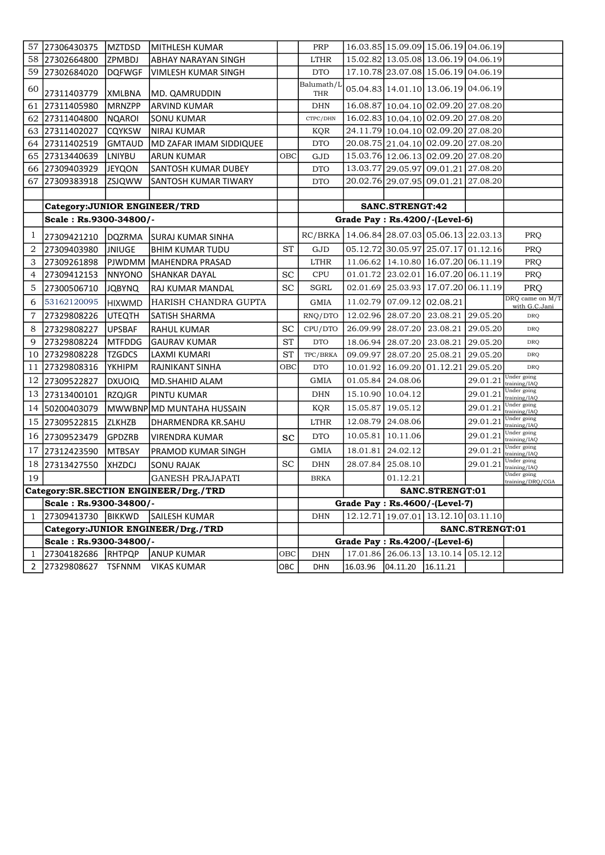| 57             | 27306430375                   | <b>MZTDSD</b> | MITHLESH KUMAR                        |           | PRP                      |                            |                   | 16.03.85 15.09.09 15.06.19 04.06.19 |                 |                                  |
|----------------|-------------------------------|---------------|---------------------------------------|-----------|--------------------------|----------------------------|-------------------|-------------------------------------|-----------------|----------------------------------|
| 58             | 27302664800                   | <b>ZPMBDJ</b> | ABHAY NARAYAN SINGH                   |           | <b>LTHR</b>              |                            |                   | 15.02.82 13.05.08 13.06.19 04.06.19 |                 |                                  |
| 59             | 27302684020                   | <b>DQFWGF</b> | VIMLESH KUMAR SINGH                   |           | <b>DTO</b>               |                            |                   | 17.10.78 23.07.08 15.06.19 04.06.19 |                 |                                  |
| 60             | 27311403779                   | <b>XMLBNA</b> | MD. QAMRUDDIN                         |           | Balumath/L<br><b>THR</b> |                            |                   | 05.04.83 14.01.10 13.06.19 04.06.19 |                 |                                  |
| 61             | 27311405980                   | <b>MRNZPP</b> | ARVIND KUMAR                          |           | <b>DHN</b>               |                            |                   | 16.08.87 10.04.10 02.09.20 27.08.20 |                 |                                  |
| 62             | 27311404800                   | <b>NQAROI</b> | SONU KUMAR                            |           | CTPC/DHN                 |                            |                   | 16.02.83 10.04.10 02.09.20 27.08.20 |                 |                                  |
| 63             | 27311402027                   | <b>CQYKSW</b> | <b>NIRAJ KUMAR</b>                    |           | KQR                      |                            |                   | 24.11.79 10.04.10 02.09.20 27.08.20 |                 |                                  |
| 64             | 27311402519                   | <b>GMTAUD</b> | MD ZAFAR IMAM SIDDIQUEE               |           | <b>DTO</b>               |                            |                   | 20.08.75 21.04.10 02.09.20 27.08.20 |                 |                                  |
| 65             | 27313440639                   | LNIYBU        | <b>ARUN KUMAR</b>                     | OBC       | GJD                      |                            |                   | 15.03.76 12.06.13 02.09.20 27.08.20 |                 |                                  |
| 66             | 27309403929                   | <b>JEYQON</b> | <b>SANTOSH KUMAR DUBEY</b>            |           | <b>DTO</b>               |                            |                   | 13.03.77 29.05.97 09.01.21 27.08.20 |                 |                                  |
| 67             | 27309383918                   | <b>ZSJQWW</b> | SANTOSH KUMAR TIWARY                  |           | <b>DTO</b>               |                            |                   | 20.02.76 29.07.95 09.01.21 27.08.20 |                 |                                  |
|                |                               |               |                                       |           |                          |                            |                   |                                     |                 |                                  |
|                | Category: JUNIOR ENGINEER/TRD |               |                                       |           |                          |                            | SANC.STRENGT:42   |                                     |                 |                                  |
|                | Scale: Rs.9300-34800/-        |               |                                       |           |                          |                            |                   | Grade Pay : Rs.4200/-(Level-6)      |                 |                                  |
| 1              | 27309421210                   | <b>DQZRMA</b> | ISURAJ KUMAR SINHA                    |           | RC/BRKA                  |                            |                   | 14.06.84 28.07.03 05.06.13 22.03.13 |                 | <b>PRQ</b>                       |
| $\overline{2}$ | 27309403980                   | <b>JNIUGE</b> | <b>BHIM KUMAR TUDU</b>                | <b>ST</b> | GJD                      |                            |                   | 05.12.72 30.05.97 25.07.17 01.12.16 |                 | <b>PRQ</b>                       |
| 3              | 27309261898                   | PJWDMM        | lMAHENDRA PRASAD                      |           | <b>LTHR</b>              |                            |                   | 11.06.62 14.10.80 16.07.20 06.11.19 |                 | PRQ                              |
| 4              | 27309412153                   | <b>NNYONO</b> | <b>SHANKAR DAYAL</b>                  | <b>SC</b> | CPU                      |                            |                   | 01.01.72 23.02.01 16.07.20 06.11.19 |                 | PRQ                              |
| 5              | 27300506710                   | <b>JQBYNQ</b> | RAJ KUMAR MANDAL                      | <b>SC</b> | <b>SGRL</b>              |                            |                   | 02.01.69 25.03.93 17.07.20 06.11.19 |                 | PRQ                              |
| 6              | 53162120095                   | <b>HIXWMD</b> | HARISH CHANDRA GUPTA                  |           | GMIA                     |                            |                   | 11.02.79 07.09.12 02.08.21          |                 | DRO came on M/T<br>with G.C.Jani |
| 7              | 27329808226                   | UTEQTH        | İSATISH SHARMA                        |           | RNQ/DTO                  |                            | 12.02.96 28.07.20 | 23.08.21                            | 29.05.20        | <b>DRQ</b>                       |
| 8              | 27329808227                   | <b>UPSBAF</b> | <b>RAHUL KUMAR</b>                    | <b>SC</b> | CPU/DTO                  |                            | 26.09.99 28.07.20 | 23.08.21                            | 29.05.20        | <b>DRQ</b>                       |
| 9              | 27329808224                   | <b>MTFDDG</b> | <b>GAURAV KUMAR</b>                   | <b>ST</b> | <b>DTO</b>               |                            | 18.06.94 28.07.20 | 23.08.21                            | 29.05.20        | <b>DRQ</b>                       |
| 10             | 27329808228                   | <b>TZGDCS</b> | LAXMI KUMARI                          | <b>ST</b> | TPC/BRKA                 | 09.09.97                   |                   | 28.07.20 25.08.21                   | 29.05.20        | <b>DRQ</b>                       |
| 11             | 27329808316                   | YKHIPM        | RAJNIKANT SINHA                       | OBC       | <b>DTO</b>               | 10.01.92                   |                   | 16.09.20 01.12.21                   | 29.05.20        | <b>DRQ</b>                       |
| 12             | 27309522827                   | <b>DXUOIQ</b> | MD.SHAHID ALAM                        |           | GMIA                     | 01.05.84                   | 24.08.06          |                                     | 29.01.21        | Under going<br>training/IAQ      |
| 13             | 27313400101                   | <b>RZQJGR</b> | <b>PINTU KUMAR</b>                    |           | DHN                      | 15.10.90                   | 10.04.12          |                                     | 29.01.21        | Under going<br>training/IAQ      |
| 14             | 50200403079                   |               | MWWBNP MD MUNTAHA HUSSAIN             |           | KQR                      | 15.05.87 19.05.12          |                   |                                     | 29.01.21        | Under going<br>training/IAQ      |
| 15             | 27309522815                   | <b>ZLKHZB</b> | DHARMENDRA KR.SAHU                    |           | <b>LTHR</b>              |                            | 12.08.79 24.08.06 |                                     | 29.01.21        | Under going<br>training/IAQ      |
| 16             | 27309523479                   | <b>GPDZRB</b> | VIRENDRA KUMAR                        | <b>SC</b> | <b>DTO</b>               | 10.05.81                   | 10.11.06          |                                     | 29.01.21        | Under going<br>training/IAQ      |
| 17             | 27312423590                   | <b>MTBSAY</b> | PRAMOD KUMAR SINGH                    |           | GMIA                     |                            | 18.01.81 24.02.12 |                                     | 29.01.21        | Under going<br>training/IAO      |
| 18             | 27313427550                   | XHZDCJ        | <b>SONU RAJAK</b>                     | <b>SC</b> | DHN                      | 28.07.84                   | 25.08.10          |                                     | 29.01.21        | Under going<br>training/IAQ      |
| 19             |                               |               | GANESH PRAJAPATI                      |           | <b>BRKA</b>              |                            | 01.12.21          |                                     |                 | Under going<br>training/DRQ/CGA  |
|                |                               |               | Category:SR.SECTION ENGINEER/Drg./TRD |           |                          |                            |                   | SANC.STRENGT:01                     |                 |                                  |
|                | Scale: Rs.9300-34800/-        |               |                                       |           |                          |                            |                   | Grade Pay: Rs.4600/-(Level-7)       |                 |                                  |
| 1              | 27309413730 BIKKWD            |               | SAILESH KUMAR                         |           | <b>DHN</b>               |                            |                   | 12.12.71 19.07.01 13.12.10 03.11.10 |                 |                                  |
|                |                               |               | Category: JUNIOR ENGINEER/Drg./TRD    |           |                          |                            |                   |                                     | SANC.STRENGT:01 |                                  |
|                | Scale: Rs.9300-34800/-        |               |                                       |           |                          |                            |                   | Grade Pay: Rs.4200/-(Level-6)       |                 |                                  |
| 1              | 27304182686 RHTPQP            |               | <b>ANUP KUMAR</b>                     | OBC       | DHN                      |                            |                   | 17.01.86 26.06.13 13.10.14 05.12.12 |                 |                                  |
| $\mathbf{2}$   | 27329808627 TSFNNM            |               | <b>VIKAS KUMAR</b>                    | OBC       | <b>DHN</b>               | 16.03.96 04.11.20 16.11.21 |                   |                                     |                 |                                  |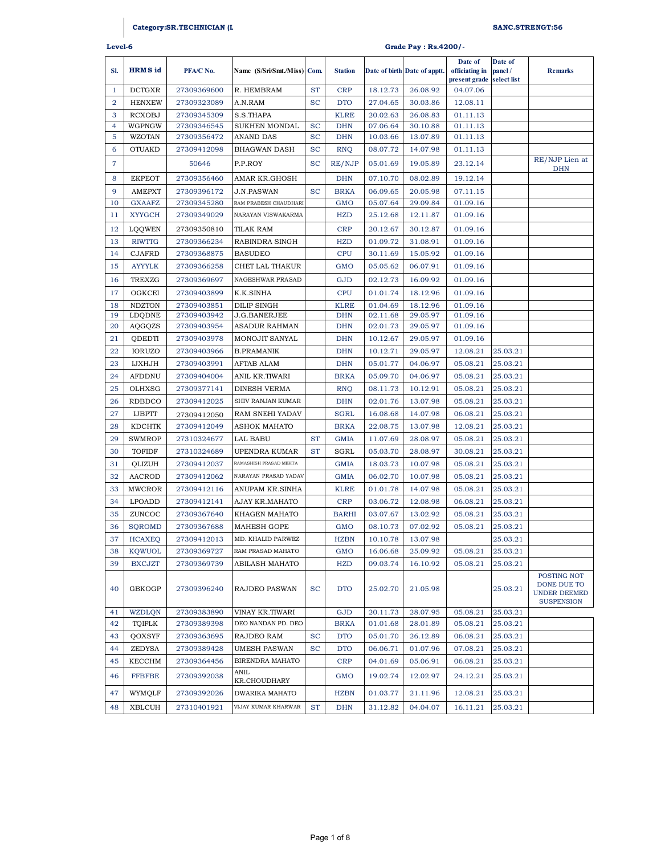# **Category:SR.TECHNICIAN (LINEM AN) SANC.STRENGT:56**

| Level-6        |                | Grade Pay : Rs.4200/- |                             |           |                |          |                              |                           |                   |                                                                        |
|----------------|----------------|-----------------------|-----------------------------|-----------|----------------|----------|------------------------------|---------------------------|-------------------|------------------------------------------------------------------------|
| SI.            | <b>HRMS</b> id | PFA/C No.             | Name (S/Sri/Smt./Miss) Com. |           | <b>Station</b> |          | Date of birth Date of apptt. | Date of<br>officiating in | Date of<br>panel/ | <b>Remarks</b>                                                         |
| $\mathbf{1}$   | <b>DCTGXR</b>  | 27309369600           | R. HEMBRAM                  | <b>ST</b> | <b>CRP</b>     | 18.12.73 | 26.08.92                     | present grade<br>04.07.06 | select list       |                                                                        |
| 2              | <b>HENXEW</b>  | 27309323089           | A.N.RAM                     | <b>SC</b> | <b>DTO</b>     | 27.04.65 | 30.03.86                     | 12.08.11                  |                   |                                                                        |
| 3              | <b>RCXOBJ</b>  | 27309345309           | S.S.THAPA                   |           | <b>KLRE</b>    | 20.02.63 | 26.08.83                     | 01.11.13                  |                   |                                                                        |
| $\overline{4}$ | WGPNGW         | 27309346545           | SUKHEN MONDAL               | <b>SC</b> | <b>DHN</b>     | 07.06.64 | 30.10.88                     | 01.11.13                  |                   |                                                                        |
| 5              | <b>WZOTAN</b>  | 27309356472           | ANAND DAS                   | <b>SC</b> | <b>DHN</b>     | 10.03.66 | 13.07.89                     | 01.11.13                  |                   |                                                                        |
| 6              | <b>OTUAKD</b>  | 27309412098           | <b>BHAGWAN DASH</b>         | <b>SC</b> | <b>RNQ</b>     | 08.07.72 | 14.07.98                     | 01.11.13                  |                   |                                                                        |
| 7              |                | 50646                 | P.P.ROY                     | <b>SC</b> | RE/NJP         | 05.01.69 | 19.05.89                     | 23.12.14                  |                   | RE/NJP Lien at<br><b>DHN</b>                                           |
| 8              | <b>EKPEOT</b>  | 27309356460           | AMAR KR.GHOSH               |           | <b>DHN</b>     | 07.10.70 | 08.02.89                     | 19.12.14                  |                   |                                                                        |
| 9              | <b>AMEPXT</b>  | 27309396172           | <b>J.N.PASWAN</b>           | <b>SC</b> | <b>BRKA</b>    | 06.09.65 | 20.05.98                     | 07.11.15                  |                   |                                                                        |
| 10             | <b>GXAAFZ</b>  | 27309345280           | RAM PRABESH CHAUDHARI       |           | <b>GMO</b>     | 05.07.64 | 29.09.84                     | 01.09.16                  |                   |                                                                        |
| 11             | <b>XYYGCH</b>  | 27309349029           | NARAYAN VISWAKARMA          |           | <b>HZD</b>     | 25.12.68 | 12.11.87                     | 01.09.16                  |                   |                                                                        |
| 12             | LQQWEN         | 27309350810           | <b>TILAK RAM</b>            |           | <b>CRP</b>     | 20.12.67 | 30.12.87                     | 01.09.16                  |                   |                                                                        |
| 13             | <b>RIWTTG</b>  | 27309366234           | RABINDRA SINGH              |           | <b>HZD</b>     | 01.09.72 | 31.08.91                     | 01.09.16                  |                   |                                                                        |
| 14             | <b>CJAFRD</b>  | 27309368875           | <b>BASUDEO</b>              |           | <b>CPU</b>     | 30.11.69 | 15.05.92                     | 01.09.16                  |                   |                                                                        |
| 15             | <b>AYYYLK</b>  | 27309366258           | CHET LAL THAKUR             |           | <b>GMO</b>     | 05.05.62 | 06.07.91                     | 01.09.16                  |                   |                                                                        |
| 16             | <b>TREXZG</b>  | 27309369697           | NAGESHWAR PRASAD            |           | GJD            | 02.12.73 | 16.09.92                     | 01.09.16                  |                   |                                                                        |
| 17             | OGKCEI         | 27309403899           | K.K.SINHA                   |           | <b>CPU</b>     | 01.01.74 | 18.12.96                     | 01.09.16                  |                   |                                                                        |
| 18             | <b>NDZTON</b>  | 27309403851           | <b>DILIP SINGH</b>          |           | <b>KLRE</b>    | 01.04.69 | 18.12.96                     | 01.09.16                  |                   |                                                                        |
| 19             | LDQDNE         | 27309403942           | J.G.BANERJEE                |           | <b>DHN</b>     | 02.11.68 | 29.05.97                     | 01.09.16                  |                   |                                                                        |
| 20             | AQGQZS         | 27309403954           | ASADUR RAHMAN               |           | <b>DHN</b>     | 02.01.73 | 29.05.97                     | 01.09.16                  |                   |                                                                        |
| 21             | QDEDTI         | 27309403978           | MONOJIT SANYAL              |           | <b>DHN</b>     | 10.12.67 | 29.05.97                     | 01.09.16                  |                   |                                                                        |
| 22             | <b>IORUZO</b>  | 27309403966           | <b>B.PRAMANIK</b>           |           | <b>DHN</b>     | 10.12.71 | 29.05.97                     | 12.08.21                  | 25.03.21          |                                                                        |
| 23             | <b>IJXHJH</b>  | 27309403991           | AFTAB ALAM                  |           | <b>DHN</b>     | 05.01.77 | 04.06.97                     | 05.08.21                  | 25.03.21          |                                                                        |
| 24             | <b>AFDDNU</b>  | 27309404004           | ANIL KR.TIWARI              |           | <b>BRKA</b>    | 05.09.70 | 04.06.97                     | 05.08.21                  | 25.03.21          |                                                                        |
| 25             | OLHXSG         | 27309377141           | DINESH VERMA                |           | <b>RNQ</b>     | 08.11.73 | 10.12.91                     | 05.08.21                  | 25.03.21          |                                                                        |
| 26             | RDBDCO         | 27309412025           | SHIV RANJAN KUMAR           |           | <b>DHN</b>     | 02.01.76 | 13.07.98                     | 05.08.21                  | 25.03.21          |                                                                        |
| 27             | <b>IJBPTT</b>  | 27309412050           | RAM SNEHI YADAV             |           | <b>SGRL</b>    | 16.08.68 | 14.07.98                     | 06.08.21                  | 25.03.21          |                                                                        |
| 28             | <b>KDCHTK</b>  | 27309412049           | <b>ASHOK MAHATO</b>         |           | <b>BRKA</b>    | 22.08.75 | 13.07.98                     | 12.08.21                  | 25.03.21          |                                                                        |
| 29             | SWMROP         | 27310324677           | LAL BABU                    | <b>ST</b> | <b>GMIA</b>    | 11.07.69 | 28.08.97                     | 05.08.21                  | 25.03.21          |                                                                        |
| 30             | <b>TOFIDF</b>  | 27310324689           | UPENDRA KUMAR               | <b>ST</b> | SGRL           | 05.03.70 | 28.08.97                     | 30.08.21                  | 25.03.21          |                                                                        |
| 31             | QLIZUH         | 27309412037           | RAMASHISH PRASAD MEHTA      |           | <b>GMIA</b>    | 18.03.73 | 10.07.98                     | 05.08.21                  | 25.03.21          |                                                                        |
| 32             | <b>AACROD</b>  | 27309412062           | NARAYAN PRASAD YADAV        |           | <b>GMIA</b>    | 06.02.70 | 10.07.98                     | 05.08.21                  | 25.03.21          |                                                                        |
| 33             | <b>MWCROR</b>  | 27309412116           | ANUPAM KR.SINHA             |           | <b>KLRE</b>    | 01.01.78 | 14.07.98                     | 05.08.21                  | 25.03.21          |                                                                        |
| 34             | LPOADD         | 27309412141           | AJAY KR.MAHATO              |           | <b>CRP</b>     | 03.06.72 | 12.08.98                     | 06.08.21                  | 25.03.21          |                                                                        |
| 35             | ZUNCOC         | 27309367640           | KHAGEN MAHATO               |           | <b>BARHI</b>   | 03.07.67 | 13.02.92                     | 05.08.21                  | 25.03.21          |                                                                        |
| 36             | SQROMD         | 27309367688           | MAHESH GOPE                 |           | GMO            |          | 08.10.73 07.02.92            | 05.08.21                  | 25.03.21          |                                                                        |
| 37             | HCAXEQ         | 27309412013           | MD. KHALID PARWEZ           |           | <b>HZBN</b>    | 10.10.78 | 13.07.98                     |                           | 25.03.21          |                                                                        |
| 38             | KQWUOL         | 27309369727           | RAM PRASAD MAHATO           |           | GMO            | 16.06.68 | 25.09.92                     | 05.08.21                  | 25.03.21          |                                                                        |
| 39             | <b>BXCJZT</b>  | 27309369739           | ABILASH MAHATO              |           | <b>HZD</b>     | 09.03.74 | 16.10.92                     | 05.08.21                  | 25.03.21          |                                                                        |
| 40             | GBKOGP         | 27309396240           | RAJDEO PASWAN               | <b>SC</b> | <b>DTO</b>     | 25.02.70 | 21.05.98                     |                           | 25.03.21          | POSTING NOT<br>DONE DUE TO<br><b>UNDER DEEMED</b><br><b>SUSPENSION</b> |
| 41             | WZDLQN         | 27309383890           | VINAY KR.TIWARI             |           | GJD            | 20.11.73 | 28.07.95                     | 05.08.21                  | 25.03.21          |                                                                        |
| 42             | TQIFLK         | 27309389398           | DEO NANDAN PD. DEO          |           | <b>BRKA</b>    | 01.01.68 | 28.01.89                     | 05.08.21                  | 25.03.21          |                                                                        |
| 43             | QOXSYF         | 27309363695           | RAJDEO RAM                  | <b>SC</b> | <b>DTO</b>     | 05.01.70 | 26.12.89                     | 06.08.21                  | 25.03.21          |                                                                        |
| 44             | ZEDYSA         | 27309389428           | <b>UMESH PASWAN</b>         | <b>SC</b> | <b>DTO</b>     | 06.06.71 | 01.07.96                     | 07.08.21                  | 25.03.21          |                                                                        |
| 45             | KECCHM         | 27309364456           | BIRENDRA MAHATO             |           | <b>CRP</b>     | 04.01.69 | 05.06.91                     | 06.08.21                  | 25.03.21          |                                                                        |
| 46             | <b>FFBFBE</b>  | 27309392038           | ANIL<br>KR.CHOUDHARY        |           | GMO            | 19.02.74 | 12.02.97                     | 24.12.21                  | 25.03.21          |                                                                        |
| 47             | WYMQLF         | 27309392026           | DWARIKA MAHATO              |           | <b>HZBN</b>    | 01.03.77 | 21.11.96                     | 12.08.21                  | 25.03.21          |                                                                        |
| 48             | XBLCUH         | 27310401921           | VIJAY KUMAR KHARWAR         | <b>ST</b> | <b>DHN</b>     | 31.12.82 | 04.04.07                     | 16.11.21                  | 25.03.21          |                                                                        |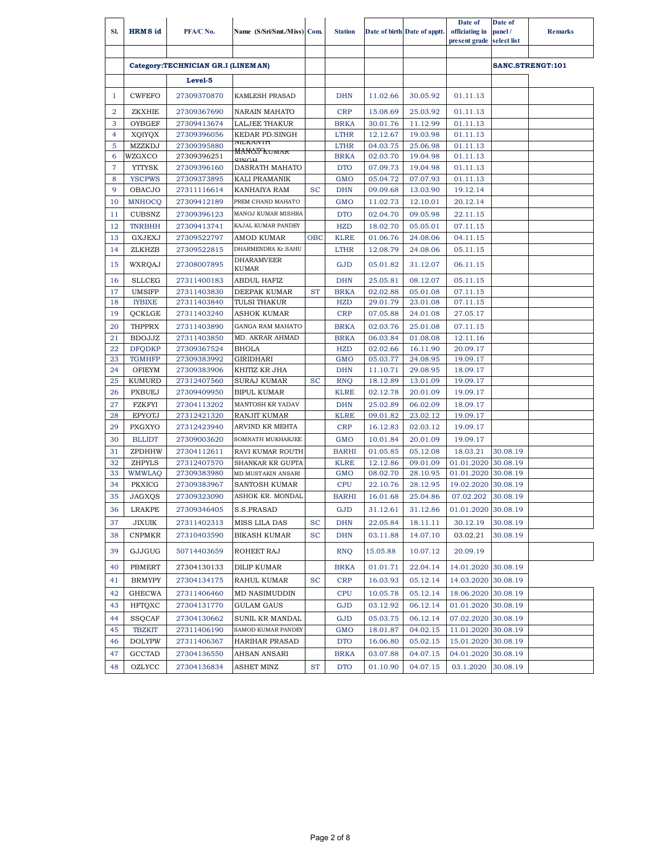| SI.            | <b>HRMS</b> id          | PFA/C No.                          | Name (S/Sri/Smt./Miss) Com.                   |            | <b>Station</b>            |                      | Date of birth Date of apptt. | Date of<br>officiating in<br>present grade select list | Date of<br>panel/ | <b>Remarks</b>   |
|----------------|-------------------------|------------------------------------|-----------------------------------------------|------------|---------------------------|----------------------|------------------------------|--------------------------------------------------------|-------------------|------------------|
|                |                         | Category:TECHNICIAN GR.I (LINEMAN) |                                               |            |                           |                      |                              |                                                        |                   | SANC.STRENGT:101 |
|                |                         | Level-5                            |                                               |            |                           |                      |                              |                                                        |                   |                  |
| 1              | <b>CWFEFO</b>           | 27309370870                        | KAMLESH PRASAD                                |            | <b>DHN</b>                | 11.02.66             | 30.05.92                     | 01.11.13                                               |                   |                  |
| $\overline{2}$ | <b>ZKXHIE</b>           | 27309367690                        | <b>NARAIN MAHATO</b>                          |            | <b>CRP</b>                | 15.08.69             | 25.03.92                     | 01.11.13                                               |                   |                  |
| 3              | OYBGEF                  | 27309413674                        | <b>LALJEE THAKUR</b>                          |            | <b>BRKA</b>               | 30.01.76             | 11.12.99                     | 01.11.13                                               |                   |                  |
| $\overline{4}$ | XQIYQX                  | 27309396056                        | KEDAR PD.SINGH                                |            | <b>LTHR</b>               | 12.12.67             | 19.03.98                     | 01.11.13                                               |                   |                  |
| 5              | <b>MZZKDJ</b>           | 27309395880                        | IVILIA AIVITI                                 |            | <b>LTHR</b>               | 04.03.75             | 25.06.98                     | 01.11.13                                               |                   |                  |
| 6              | WZGXCO                  | 27309396251                        | MA <del>NOTA umar</del>                       |            | <b>BRKA</b>               | 02.03.70             | 19.04.98                     | 01.11.13                                               |                   |                  |
| $\overline{7}$ | <b>YTTYSK</b>           | 27309396160                        | DASRATH MAHATO                                |            | <b>DTO</b>                | 07.09.73             | 19.04.98                     | 01.11.13                                               |                   |                  |
| 8              | <b>YSCPWS</b>           | 27309373895                        | KALI PRAMANIK                                 |            | <b>GMO</b>                | 05.04.72             | 07.07.93                     | 01.11.13                                               |                   |                  |
| 9              | <b>OBACJO</b>           | 27311116614                        | KANHAIYA RAM                                  | <b>SC</b>  | <b>DHN</b>                | 09.09.68             | 13.03.90                     | 19.12.14                                               |                   |                  |
| 10             | <b>MNHOCQ</b>           | 27309412189                        | PREM CHAND MAHATO                             |            | <b>GMO</b>                | 11.02.73             | 12.10.01                     | 20.12.14                                               |                   |                  |
| 11             | <b>CUBSNZ</b>           | 27309396123                        | MANOJ KUMAR MISHRA                            |            | <b>DTO</b>                | 02.04.70             | 09.05.98                     | 22.11.15                                               |                   |                  |
| 12             | <b>TNRBHH</b>           | 27309413741                        | KAJAL KUMAR PANDEY                            |            | <b>HZD</b>                | 18.02.70             | 05.05.01                     | 07.11.15                                               |                   |                  |
| 13             | <b>GXJEXJ</b>           | 27309522797                        | <b>AMOD KUMAR</b>                             | <b>OBC</b> | <b>KLRE</b>               | 01.06.76             | 24.08.06                     | 04.11.15                                               |                   |                  |
| 14             | ZLKHZB                  | 27309522815                        | DHARMENDRA Kr.SAHU                            |            | <b>LTHR</b>               | 12.08.79             | 24.08.06                     | 05.11.15                                               |                   |                  |
| 15             | <b>WXRQAJ</b>           | 27308007895                        | <b>DHARAMVEER</b><br><b>KUMAR</b>             |            | <b>GJD</b>                | 05.01.82             | 31.12.07                     | 06.11.15                                               |                   |                  |
| 16             | <b>SLLCEG</b>           | 27311400183                        | <b>ABDUL HAFIZ</b>                            |            | <b>DHN</b>                | 25.05.81             | 08.12.07                     | 05.11.15                                               |                   |                  |
| 17             | <b>UMSIFP</b>           | 27311403830                        | <b>DEEPAK KUMAR</b>                           | <b>ST</b>  | <b>BRKA</b>               | 02.02.88             | 05.01.08                     | 07.11.15                                               |                   |                  |
| 18             | <b>IYBIXE</b>           | 27311403840                        | TULSI THAKUR                                  |            | <b>HZD</b>                | 29.01.79             | 23.01.08                     | 07.11.15                                               |                   |                  |
| 19             | QCKLGE                  | 27311403240                        | ASHOK KUMAR                                   |            | <b>CRP</b>                | 07.05.88             | 24.01.08                     | 27.05.17                                               |                   |                  |
| 20             | <b>THPPRX</b>           | 27311403890                        | <b>GANGA RAM MAHATO</b>                       |            | <b>BRKA</b>               | 02.03.76             | 25.01.08                     | 07.11.15                                               |                   |                  |
| 21             | <b>BDOJJZ</b>           | 27311403850                        | MD. AKRAR AHMAD                               |            | <b>BRKA</b>               | 06.03.84             | 01.08.08                     | 12.11.16                                               |                   |                  |
| 22             | <b>DFQDKP</b>           | 27309367524                        | <b>BHOLA</b>                                  |            | <b>HZD</b>                | 02.02.66             | 16.11.90                     | 20.09.17                                               |                   |                  |
| 23             | <b>TGMHFP</b>           | 27309383992                        | <b>GIRIDHARI</b>                              |            | <b>GMO</b>                | 05.03.77             | 24.08.95                     | 19.09.17                                               |                   |                  |
| 24             | <b>OFIEYM</b>           | 27309383906                        | KHITIZ KR JHA                                 |            | <b>DHN</b>                | 11.10.71             | 29.08.95                     | 18.09.17                                               |                   |                  |
| 25             | <b>KUMURD</b>           | 27312407560                        | <b>SURAJ KUMAR</b>                            | <b>SC</b>  | <b>RNQ</b>                | 18.12.89             | 13.01.09                     | 19.09.17                                               |                   |                  |
| 26             | <b>PXBUEJ</b>           | 27309409950                        | <b>BIPUL KUMAR</b>                            |            | <b>KLRE</b>               | 02.12.78             | 20.01.09                     | 19.09.17                                               |                   |                  |
| 27             | <b>FZKFYI</b>           | 27304113202                        | <b>MANTOSH KR YADAV</b>                       |            | <b>DHN</b>                | 25.02.89             | 06.02.09                     | 18.09.17                                               |                   |                  |
| 28             | <b>EPYOTJ</b>           | 27312421320                        | <b>RANJIT KUMAR</b>                           |            | <b>KLRE</b>               | 09.01.82             | 23.02.12                     | 19.09.17                                               |                   |                  |
| 29             | <b>PXGXYO</b>           | 27312423940                        | ARVIND KR MEHTA                               |            | <b>CRP</b>                | 16.12.83             | 02.03.12                     | 19.09.17                                               |                   |                  |
| 30             | <b>BLLIDT</b>           | 27309003620                        | <b>SOMNATH MUKHARJEE</b>                      |            | <b>GMO</b>                | 10.01.84             | 20.01.09                     | 19.09.17                                               |                   |                  |
| 31             | ZPDHHW                  | 27304112611                        | RAVI KUMAR ROUTH                              |            | <b>BARHI</b>              | 01.05.85             | 05.12.08                     | 18.03.21                                               | 30.08.19          |                  |
| 32<br>33       | <b>ZHPYLS</b>           | 27312407570                        | <b>SHANKAR KR GUPTA</b><br>MD MUSTAKIN ANSARI |            | <b>KLRE</b><br><b>GMO</b> | 12.12.86             | 09.01.09<br>28.10.95         | 01.01.2020                                             | 30.08.19          |                  |
| 34             | <b>WMWLAQ</b><br>PKXICG | 27309383980<br>27309383967         | SANTOSH KUMAR                                 |            | <b>CPU</b>                | 08.02.70<br>22.10.76 | 28.12.95                     | 01.01.2020 30.08.19<br>19.02.2020 30.08.19             |                   |                  |
|                |                         |                                    |                                               |            |                           |                      |                              |                                                        |                   |                  |
| 35             | JAGXQS                  | 27309323090                        | ASHOK KR. MONDAL                              |            | <b>BARHI</b>              | 16.01.68             | 25.04.86                     | 07.02.202 30.08.19                                     |                   |                  |
| 36             | LRAKPE                  | 27309346405                        | S.S.PRASAD                                    |            | GJD                       | 31.12.61             | 31.12.86                     | 01.01.2020 30.08.19                                    |                   |                  |
| 37             | JIXUIK                  | 27311402313                        | MISS LILA DAS                                 | <b>SC</b>  | <b>DHN</b>                | 22.05.84             | 18.11.11                     | 30.12.19                                               | 30.08.19          |                  |
| 38             | <b>CNPMKR</b>           | 27310403590                        | <b>BIKASH KUMAR</b>                           | <b>SC</b>  | <b>DHN</b>                | 03.11.88             | 14.07.10                     | 03.02.21                                               | 30.08.19          |                  |
| 39             | GJJGUG                  | 50714403659                        | ROHEET RAJ                                    |            | <b>RNQ</b>                | 15.05.88             | 10.07.12                     | 20.09.19                                               |                   |                  |
| 40             | PBMERT                  | 27304130133                        | DILIP KUMAR                                   |            | <b>BRKA</b>               | 01.01.71             | 22.04.14                     | 14.01.2020 30.08.19                                    |                   |                  |
| 41             | <b>BRMYPY</b>           | 27304134175                        | RAHUL KUMAR                                   | <b>SC</b>  | <b>CRP</b>                | 16.03.93             | 05.12.14                     | 14.03.2020 30.08.19                                    |                   |                  |
| 42             | <b>GHECWA</b>           | 27311406460                        | <b>MD NASIMUDDIN</b>                          |            | <b>CPU</b>                | 10.05.78             | 05.12.14                     | 18.06.2020 30.08.19                                    |                   |                  |
| 43             | HFTOXC                  | 27304131770                        | <b>GULAM GAUS</b>                             |            | GJD                       | 03.12.92             | 06.12.14                     | 01.01.2020 30.08.19                                    |                   |                  |
| 44             | <b>SSQCAF</b>           | 27304130662                        | SUNIL KR MANDAL                               |            | GJD                       | 05.03.75             | 06.12.14                     | 07.02.2020 30.08.19                                    |                   |                  |
| 45             | <b>TBZKIT</b>           | 27311406190                        | SAMOD KUMAR PANDEY                            |            | <b>GMO</b>                | 18.01.87             | 04.02.15                     | 11.01.2020 30.08.19                                    |                   |                  |
| 46             | <b>DOLYPW</b>           | 27311406367                        | HARIHAR PRASAD                                |            | <b>DTO</b>                | 16.06.80             | 05.02.15                     | 15.01.2020 30.08.19                                    |                   |                  |
| 47             | GCCTAD                  | 27304136550                        | AHSAN ANSARI                                  |            | <b>BRKA</b>               | 03.07.88             | 04.07.15                     | 04.01.2020 30.08.19                                    |                   |                  |
| 48             | OZLYCC                  | 27304136834                        | ASHET MINZ                                    | <b>ST</b>  | <b>DTO</b>                | 01.10.90             | 04.07.15                     | 03.1.2020                                              | 30.08.19          |                  |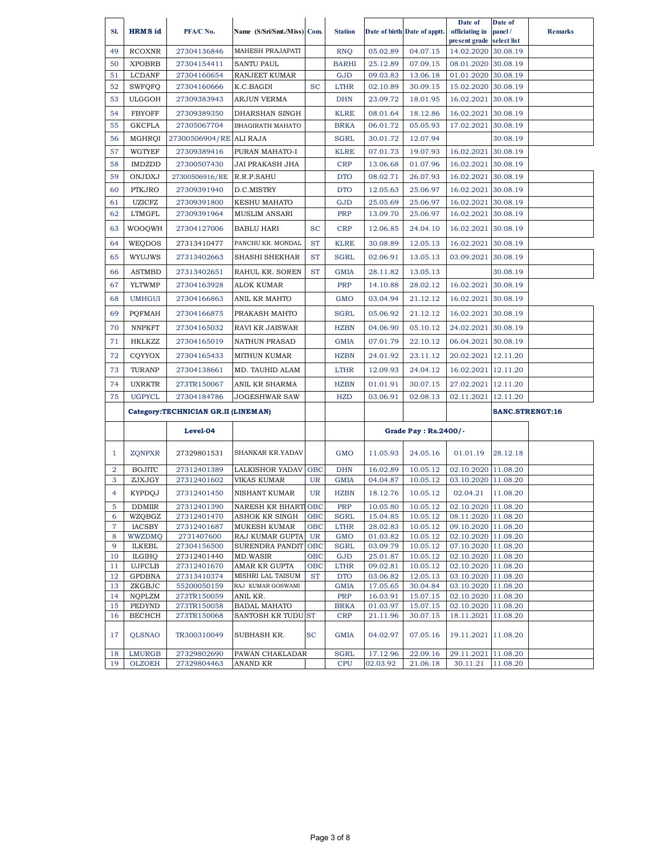|                |                                |                                     |                                      |           |                           |                      |                              | Date of                                    | Date of              |                |
|----------------|--------------------------------|-------------------------------------|--------------------------------------|-----------|---------------------------|----------------------|------------------------------|--------------------------------------------|----------------------|----------------|
| SI.            | <b>HRMS</b> id                 | PFA/C No.                           | Name (S/Sri/Smt./Miss) Com.          |           | <b>Station</b>            |                      | Date of birth Date of apptt. | officiating in                             | panel/               | <b>Remarks</b> |
|                |                                |                                     |                                      |           |                           |                      |                              | present grade                              | select list          |                |
| 49             | <b>RCOXNR</b>                  | 27304136846                         | MAHESH PRAJAPATI                     |           | <b>RNQ</b>                | 05.02.89             | 04.07.15                     | 14.02.2020                                 | 30.08.19             |                |
| 50             | <b>XPOBRB</b>                  | 27304154411                         | <b>SANTU PAUL</b>                    |           | <b>BARHI</b>              | 25.12.89             | 07.09.15                     | 08.01.2020                                 | 30.08.19             |                |
| 51             | <b>LCDANF</b>                  | 27304160654                         | RANJEET KUMAR                        |           | <b>GJD</b>                | 09.03.83             | 13.06.18                     | 01.01.2020                                 | 30.08.19             |                |
| 52             | <b>SWFQFQ</b>                  | 27304160666                         | K.C.BAGDI                            | SC        | <b>LTHR</b>               | 02.10.89             | 30.09.15                     | 15.02.2020                                 | 30.08.19             |                |
| 53             | <b>ULGGOH</b>                  | 27309383943                         | ARJUN VERMA                          |           | <b>DHN</b>                | 23.09.72             | 18.01.95                     | 16.02.2021                                 | 30.08.19             |                |
| 54             | <b>FBYOFF</b>                  | 27309389350                         | DHARSHAN SINGH                       |           | <b>KLRE</b>               | 08.01.64             | 18.12.86                     | 16.02.2021                                 | 30.08.19             |                |
| 55             | <b>GKCFLA</b>                  | 27305067704                         | BHAGIRATH MAHATO                     |           | <b>BRKA</b>               | 06.01.72             | 05.05.93                     | 17.02.2021                                 | 30.08.19             |                |
| 56             | MGHRQI                         | 27300506904/RE ALI RAJA             |                                      |           | <b>SGRL</b>               | 30.01.72             | 12.07.94                     |                                            | 30.08.19             |                |
| 57             | <b>WGTYEF</b>                  | 27309389416                         | PURAN MAHATO-I                       |           | <b>KLRE</b>               | 07.01.73             | 19.07.93                     | 16.02.2021                                 | 30.08.19             |                |
| 58             | <b>IMDZDD</b>                  | 27300507430                         | JAI PRAKASH JHA                      |           | <b>CRP</b>                | 13.06.68             | 01.07.96                     | 16.02.2021                                 | 30.08.19             |                |
| 59             | ONJDXJ                         | 27300506916/RE                      | R.R.P.SAHU                           |           | <b>DTO</b>                | 08.02.71             | 26.07.93                     | 16.02.2021                                 | 30.08.19             |                |
| 60             | PTKJRO                         | 27309391940                         | D.C.MISTRY                           |           | <b>DTO</b>                | 12.05.63             | 25.06.97                     | 16.02.2021                                 | 30.08.19             |                |
|                |                                |                                     |                                      |           |                           | 25.05.69             |                              |                                            |                      |                |
| 61<br>62       | <b>UZICFZ</b><br><b>LTMGFL</b> | 27309391800<br>27309391964          | KESHU MAHATO<br><b>MUSLIM ANSARI</b> |           | GJD<br>PRP                | 13.09.70             | 25.06.97<br>25.06.97         | 16.02.2021                                 | 30.08.19<br>30.08.19 |                |
|                |                                |                                     |                                      |           |                           |                      |                              | 16.02.2021                                 |                      |                |
| 63             | <b>WOOQWH</b>                  | 27304127006                         | <b>BABLU HARI</b>                    | SC        | <b>CRP</b>                | 12.06.85             | 24.04.10                     | 16.02.2021                                 | 30.08.19             |                |
| 64             | WEQDOS                         | 27313410477                         | PANCHU KR. MONDAL                    | <b>ST</b> | <b>KLRE</b>               | 30.08.89             | 12.05.13                     | 16.02.2021                                 | 30.08.19             |                |
| 65             | WYUJWS                         | 27313402663                         | SHASHI SHEKHAR                       | <b>ST</b> | <b>SGRL</b>               | 02.06.91             | 13.05.13                     | 03.09.2021                                 | 30.08.19             |                |
| 66             | <b>ASTMBD</b>                  | 27313402651                         | RAHUL KR. SOREN                      | <b>ST</b> | <b>GMIA</b>               | 28.11.82             | 13.05.13                     |                                            | 30.08.19             |                |
| 67             | <b>YLTWMP</b>                  | 27304163928                         | ALOK KUMAR                           |           | PRP                       | 14.10.88             | 28.02.12                     | 16.02.2021                                 | 30.08.19             |                |
| 68             | <b>UMHGUI</b>                  | 27304166863                         | ANIL KR MAHTO                        |           | GMO                       | 03.04.94             | 21.12.12                     | 16.02.2021                                 | 30.08.19             |                |
| 69             | <b>POFMAH</b>                  | 27304166875                         | PRAKASH MAHTO                        |           | <b>SGRL</b>               | 05.06.92             | 21.12.12                     | 16.02.2021                                 | 30.08.19             |                |
| 70             | <b>NNPKFT</b>                  | 27304165032                         | RAVI KR JAISWAR                      |           | <b>HZBN</b>               | 04.06.90             | 05.10.12                     | 24.02.2021 30.08.19                        |                      |                |
| 71             | HKLKZZ                         | 27304165019                         | <b>NATHUN PRASAD</b>                 |           | <b>GMIA</b>               | 07.01.79             | 22.10.12                     | 06.04.2021                                 | 30.08.19             |                |
| 72             | CQYYOX                         | 27304165433                         | MITHUN KUMAR                         |           | <b>HZBN</b>               | 24.01.92             | 23.11.12                     | 20.02.2021                                 | 12.11.20             |                |
| 73             | TURANP                         | 27304138661                         | MD. TAUHID ALAM                      |           | <b>LTHR</b>               | 12.09.93             | 24.04.12                     | 16.02.2021                                 | 12.11.20             |                |
| 74             | <b>UXRKTR</b>                  | 273TR150067                         | ANIL KR SHARMA                       |           | <b>HZBN</b>               | 01.01.91             | 30.07.15                     | 27.02.2021                                 | 12.11.20             |                |
| 75             | <b>UGPYCL</b>                  | 27304184786                         | JOGESHWAR SAW                        |           | <b>HZD</b>                | 03.06.91             | 02.08.13                     | 02.11.2021                                 | 12.11.20             |                |
|                |                                | Category:TECHNICIAN GR.II (LINEMAN) |                                      |           |                           |                      |                              |                                            | SANC.STRENGT:16      |                |
|                |                                |                                     |                                      |           |                           |                      |                              |                                            |                      |                |
|                |                                | Level-04                            |                                      |           |                           |                      | Grade Pay : Rs.2400/-        |                                            |                      |                |
| $\mathbf{1}$   | <b>ZQNPXR</b>                  | 27329801531                         | SHANKAR KR.YADAV                     |           | <b>GMO</b>                | 11.05.93             | 24.05.16                     | 01.01.19                                   | 28.12.18             |                |
| 2              | <b>BOJITC</b>                  | 27312401389                         | LALKISHOR YADAV                      | OBC       | <b>DHN</b>                | 16.02.89             | 10.05.12                     | 02.10.2020 11.08.20                        |                      |                |
| 3              | ZJXJGY                         | 27312401602                         | <b>VIKAS KUMAR</b>                   | UR        | <b>GMIA</b>               | 04.04.87             | 10.05.12                     | 03.10.2020 11.08.20                        |                      |                |
| 4              | <b>KYPDOJ</b>                  | 27312401450                         | <b>NISHANT KUMAR</b>                 | UR        | <b>HZBN</b>               | 18.12.76             | 10.05.12                     | 02.04.21                                   | 11.08.20             |                |
| 5.             | <b>DDMIIR</b>                  | 27312401390                         | NARESH KR BHART OBC                  |           | PRP                       | 10.05.80             | 10.05.12                     | 02.10.2020 11.08.20                        |                      |                |
| 6              | WZQBGZ                         | 27312401470                         | ASHOK KR SINGH                       | OBC       | <b>SGRL</b>               | 15.04.85             | 10.05.12                     | 08.11.2020 11.08.20                        |                      |                |
| $\overline{7}$ | <b>IACSBY</b>                  | 27312401687<br>2731407600           | <b>MUKESH KUMAR</b>                  | OBC       | <b>LTHR</b>               | 28.02.83             | 10.05.12                     | 09.10.2020 11.08.20                        |                      |                |
| 8<br>9         | WWZDMQ<br><b>ILKEBL</b>        | 27304156500                         | RAJ KUMAR GUPTA<br>SURENDRA PANDIT   | UR<br>OBC | <b>GMO</b><br><b>SGRL</b> | 01.03.82<br>03.09.79 | 10.05.12<br>10.05.12         | 02.10.2020 11.08.20<br>07.10.2020 11.08.20 |                      |                |
| 10             | <b>ILGIHQ</b>                  | 27312401440                         | MD.WASIR                             | OBC       | <b>GJD</b>                | 25.01.87             | 10.05.12                     | 02.10.2020 11.08.20                        |                      |                |
| 11             | <b>UJFCLB</b>                  | 27312401670                         | AMAR KR GUPTA                        | овс       | <b>LTHR</b>               | 09.02.81             | 10.05.12                     | 02.10.2020 11.08.20                        |                      |                |
| 12             | <b>GPDBNA</b>                  | 27313410374                         | MISHRI LAL TAISUM                    | <b>ST</b> | <b>DTO</b>                | 03.06.82             | 12.05.13                     | 03.10.2020 11.08.20                        |                      |                |
| 13             | ZKGBJC                         | 55200050159                         | RAJ KUMAR GOSWAMI                    |           | <b>GMIA</b>               | 17.05.65             | 30.04.84                     | 03.10.2020 11.08.20                        |                      |                |
| 14<br>15       | NQPLZM<br>PEDYND               | 273TR150059                         | ANIL KR.<br><b>BADAL MAHATO</b>      |           | PRP                       | 16.03.91<br>01.03.97 | 15.07.15                     | 02.10.2020 11.08.20                        |                      |                |
| 16             | <b>BECHCH</b>                  | 273TR150058<br>273TR150068          | SANTOSH KR TUDU ST                   |           | <b>BRKA</b><br><b>CRP</b> | 21.11.96             | 15.07.15<br>30.07.15         | 02.10.2020 11.08.20<br>18.11.2021 11.08.20 |                      |                |
| 17             | <b>QLSNAO</b>                  | TR300310049                         | SUBHASH KR.                          | <b>SC</b> | <b>GMIA</b>               | 04.02.97             | 07.05.16                     | 19.11.2021 11.08.20                        |                      |                |
| 18             | <b>LMURGB</b>                  | 27329802690                         | PAWAN CHAKLADAR                      |           | SGRL                      | 17.12.96             | 22.09.16                     | 29.11.2021                                 | 11.08.20             |                |
| 19             | <b>OLZOEH</b>                  | 27329804463                         | ANAND KR                             |           | <b>CPU</b>                | 02.03.92             | 21.06.18                     | 30.11.21                                   | 11.08.20             |                |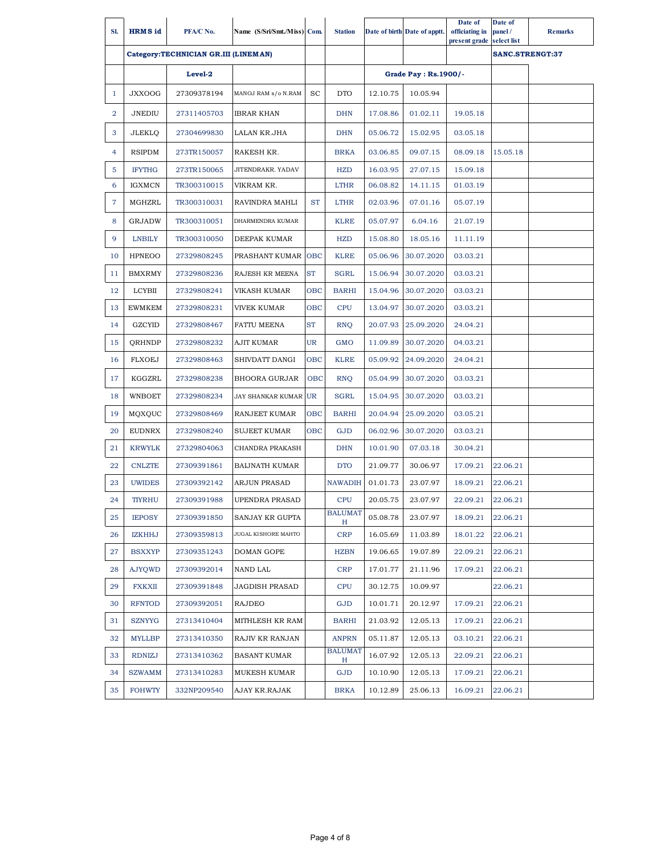| SI.            | <b>HRMS</b> id | PFA/C No.                            | Name (S/Sri/Smt./Miss) Com. |           | <b>Station</b>      |          | Date of birth Date of apptt. | Date of<br>officiating in<br>present grade | Date of<br>panel/<br>select list | <b>Remarks</b>         |
|----------------|----------------|--------------------------------------|-----------------------------|-----------|---------------------|----------|------------------------------|--------------------------------------------|----------------------------------|------------------------|
|                |                | Category:TECHNICIAN GR.III (LINEMAN) |                             |           |                     |          |                              |                                            |                                  | <b>SANC.STRENGT:37</b> |
|                |                | Level-2                              |                             |           |                     |          | Grade Pay: Rs.1900/-         |                                            |                                  |                        |
| 1              | <b>JXXOOG</b>  | 27309378194                          | MANOJ RAM s/o N.RAM         | <b>SC</b> | <b>DTO</b>          | 12.10.75 | 10.05.94                     |                                            |                                  |                        |
| $\overline{2}$ | JNEDIU         | 27311405703                          | IBRAR KHAN                  |           | <b>DHN</b>          | 17.08.86 | 01.02.11                     | 19.05.18                                   |                                  |                        |
| 3              | <b>JLEKLQ</b>  | 27304699830                          | LALAN KR.JHA                |           | <b>DHN</b>          | 05.06.72 | 15.02.95                     | 03.05.18                                   |                                  |                        |
| 4              | <b>RSIPDM</b>  | 273TR150057                          | RAKESH KR.                  |           | <b>BRKA</b>         | 03.06.85 | 09.07.15                     | 08.09.18                                   | 15.05.18                         |                        |
| 5              | <b>IFYTHG</b>  | 273TR150065                          | JITENDRAKR. YADAV           |           | <b>HZD</b>          | 16.03.95 | 27.07.15                     | 15.09.18                                   |                                  |                        |
| 6              | <b>IGXMCN</b>  | TR300310015                          | VIKRAM KR.                  |           | <b>LTHR</b>         | 06.08.82 | 14.11.15                     | 01.03.19                                   |                                  |                        |
| 7              | MGHZRL         | TR300310031                          | RAVINDRA MAHLI              | <b>ST</b> | <b>LTHR</b>         | 02.03.96 | 07.01.16                     | 05.07.19                                   |                                  |                        |
| 8              | <b>GRJADW</b>  | TR300310051                          | DHARMENDRA KUMAR            |           | <b>KLRE</b>         | 05.07.97 | 6.04.16                      | 21.07.19                                   |                                  |                        |
| 9              | <b>LNBILY</b>  | TR300310050                          | DEEPAK KUMAR                |           | <b>HZD</b>          | 15.08.80 | 18.05.16                     | 11.11.19                                   |                                  |                        |
| 10             | <b>HPNEOO</b>  | 27329808245                          | PRASHANT KUMAR OBC          |           | <b>KLRE</b>         | 05.06.96 | 30.07.2020                   | 03.03.21                                   |                                  |                        |
| 11             | <b>BMXRMY</b>  | 27329808236                          | RAJESH KR MEENA             | <b>ST</b> | <b>SGRL</b>         | 15.06.94 | 30.07.2020                   | 03.03.21                                   |                                  |                        |
| 12             | LCYBII         | 27329808241                          | VIKASH KUMAR                | OBC       | <b>BARHI</b>        | 15.04.96 | 30.07.2020                   | 03.03.21                                   |                                  |                        |
| 13             | <b>EWMKEM</b>  | 27329808231                          | VIVEK KUMAR                 | OBC       | <b>CPU</b>          | 13.04.97 | 30.07.2020                   | 03.03.21                                   |                                  |                        |
| 14             | GZCYID         | 27329808467                          | <b>FATTU MEENA</b>          | <b>ST</b> | <b>RNO</b>          | 20.07.93 | 25.09.2020                   | 24.04.21                                   |                                  |                        |
| 15             | <b>QRHNDP</b>  | 27329808232                          | AJIT KUMAR                  | UR        | <b>GMO</b>          | 11.09.89 | 30.07.2020                   | 04.03.21                                   |                                  |                        |
| 16             | <b>FLXOEJ</b>  | 27329808463                          | SHIVDATT DANGI              | OBC       | <b>KLRE</b>         | 05.09.92 | 24.09.2020                   | 24.04.21                                   |                                  |                        |
| 17             | KGGZRL         | 27329808238                          | BHOORA GURJAR               | OBC       | <b>RNQ</b>          | 05.04.99 | 30.07.2020                   | 03.03.21                                   |                                  |                        |
| 18             | WNBOET         | 27329808234                          | <b>JAY SHANKAR KUMAR UR</b> |           | <b>SGRL</b>         | 15.04.95 | 30.07.2020                   | 03.03.21                                   |                                  |                        |
| 19             | MQXQUC         | 27329808469                          | RANJEET KUMAR               | OBC       | <b>BARHI</b>        | 20.04.94 | 25.09.2020                   | 03.05.21                                   |                                  |                        |
| 20             | <b>EUDNRX</b>  | 27329808240                          | <b>SUJEET KUMAR</b>         | OBC       | <b>GJD</b>          | 06.02.96 | 30.07.2020                   | 03.03.21                                   |                                  |                        |
| 21             | <b>KRWYLK</b>  | 27329804063                          | CHANDRA PRAKASH             |           | <b>DHN</b>          | 10.01.90 | 07.03.18                     | 30.04.21                                   |                                  |                        |
| 22             | <b>CNLZTE</b>  | 27309391861                          | <b>BAIJNATH KUMAR</b>       |           | <b>DTO</b>          | 21.09.77 | 30.06.97                     | 17.09.21                                   | 22.06.21                         |                        |
| 23             | <b>UWIDES</b>  | 27309392142                          | <b>ARJUN PRASAD</b>         |           | <b>NAWADIH</b>      | 01.01.73 | 23.07.97                     | 18.09.21                                   | 22.06.21                         |                        |
| 24             | <b>TIYRHU</b>  | 27309391988                          | UPENDRA PRASAD              |           | <b>CPU</b>          | 20.05.75 | 23.07.97                     | 22.09.21                                   | 22.06.21                         |                        |
| 25             | <b>IEPOSY</b>  | 27309391850                          | SANJAY KR GUPTA             |           | <b>BALUMAT</b><br>H | 05.08.78 | 23.07.97                     | 18.09.21                                   | 22.06.21                         |                        |
| 26             | IZKHHJ         | 27309359813                          | JUGAL KISHORE MAHTO         |           | <b>CRP</b>          | 16.05.69 | 11.03.89                     | 18.01.22                                   | 22.06.21                         |                        |
| 27             | <b>BSXXYP</b>  | 27309351243                          | DOMAN GOPE                  |           | <b>HZBN</b>         | 19.06.65 | 19.07.89                     | 22.09.21                                   | 22.06.21                         |                        |
| 28             | <b>AJYOWD</b>  | 27309392014                          | NAND LAL                    |           | <b>CRP</b>          | 17.01.77 | 21.11.96                     | 17.09.21                                   | 22.06.21                         |                        |
| 29             | FXKXII         | 27309391848                          | JAGDISH PRASAD              |           | <b>CPU</b>          | 30.12.75 | 10.09.97                     |                                            | 22.06.21                         |                        |
| 30             | <b>RFNTOD</b>  | 27309392051                          | RAJDEO                      |           | GJD                 | 10.01.71 | 20.12.97                     | 17.09.21                                   | 22.06.21                         |                        |
| 31             | SZNYYG         | 27313410404                          | MITHLESH KR RAM             |           | <b>BARHI</b>        | 21.03.92 | 12.05.13                     | 17.09.21                                   | 22.06.21                         |                        |
| 32             | <b>MYLLBP</b>  | 27313410350                          | RAJIV KR RANJAN             |           | <b>ANPRN</b>        | 05.11.87 | 12.05.13                     | 03.10.21                                   | 22.06.21                         |                        |
| 33             | <b>RDNIZJ</b>  | 27313410362                          | BASANT KUMAR                |           | <b>BALUMAT</b><br>H | 16.07.92 | 12.05.13                     | 22.09.21                                   | 22.06.21                         |                        |
| 34             | <b>SZWAMM</b>  | 27313410283                          | MUKESH KUMAR                |           | GJD                 | 10.10.90 | 12.05.13                     | 17.09.21                                   | 22.06.21                         |                        |
| 35             | <b>FOHWTY</b>  | 332NP209540                          | AJAY KR.RAJAK               |           | <b>BRKA</b>         | 10.12.89 | 25.06.13                     | 16.09.21                                   | 22.06.21                         |                        |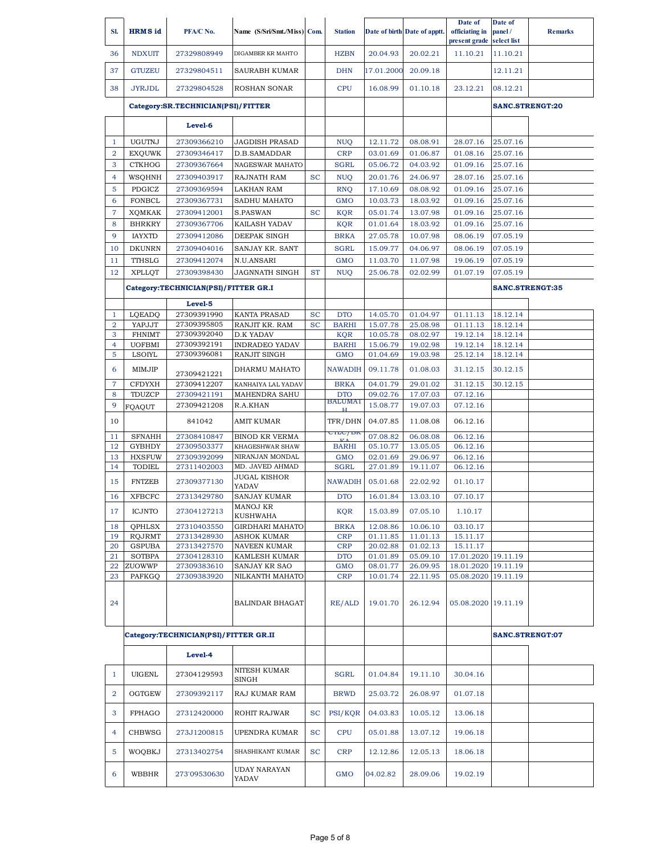| SI.            | <b>HRMS</b> id          | PFA/C No.                             | Name (S/Sri/Smt./Miss) Com.        |           | <b>Station</b>               |                      | Date of birth Date of apptt. | Date of<br>officiating in                  | Date of<br>panel/       | <b>Remarks</b>  |
|----------------|-------------------------|---------------------------------------|------------------------------------|-----------|------------------------------|----------------------|------------------------------|--------------------------------------------|-------------------------|-----------------|
| 36             | <b>NDXUIT</b>           | 27329808949                           | DIGAMBER KR MAHTO                  |           | <b>HZBN</b>                  | 20.04.93             | 20.02.21                     | present grade<br>11.10.21                  | select list<br>11.10.21 |                 |
| 37             | <b>GTUZEU</b>           | 27329804511                           | SAURABH KUMAR                      |           | <b>DHN</b>                   | 17.01.2000           | 20.09.18                     |                                            | 12.11.21                |                 |
|                |                         |                                       |                                    |           |                              |                      |                              |                                            |                         |                 |
| 38             | <b>JYRJDL</b>           | 27329804528                           | <b>ROSHAN SONAR</b>                |           | <b>CPU</b>                   | 16.08.99             | 01.10.18                     | 23.12.21                                   | 08.12.21                |                 |
|                |                         | Category:SR.TECHNICIAN(PSI)/FITTER    |                                    |           |                              |                      |                              |                                            | SANC.STRENGT:20         |                 |
|                |                         | Level-6                               |                                    |           |                              |                      |                              |                                            |                         |                 |
| $\mathbf{1}$   | <b>UGUTNJ</b>           | 27309366210                           | <b>JAGDISH PRASAD</b>              |           | <b>NUQ</b>                   | 12.11.72             | 08.08.91                     | 28.07.16                                   | 25.07.16                |                 |
| $\overline{a}$ | <b>EXOUWK</b>           | 27309346417                           | D.B.SAMADDAR                       |           | <b>CRP</b>                   | 03.01.69             | 01.06.87                     | 01.08.16                                   | 25.07.16                |                 |
| 3              | <b>CTKHOG</b>           | 27309367664                           | NAGESWAR MAHATO                    |           | <b>SGRL</b>                  | 05.06.72             | 04.03.92                     | 01.09.16                                   | 25.07.16                |                 |
| $\overline{4}$ | WSQHNH                  | 27309403917                           | RAJNATH RAM                        | <b>SC</b> | <b>NUQ</b>                   | 20.01.76             | 24.06.97                     | 28.07.16                                   | 25.07.16                |                 |
| 5              | PDGICZ                  | 27309369594                           | <b>LAKHAN RAM</b>                  |           | <b>RNQ</b>                   | 17.10.69             | 08.08.92                     | 01.09.16                                   | 25.07.16                |                 |
| 6              | <b>FONBCL</b>           | 27309367731                           | SADHU MAHATO                       |           | <b>GMO</b>                   | 10.03.73             | 18.03.92                     | 01.09.16                                   | 25.07.16                |                 |
| $\overline{7}$ | <b>XQMKAK</b>           | 27309412001                           | S.PASWAN                           | <b>SC</b> | <b>KQR</b>                   | 05.01.74             | 13.07.98                     | 01.09.16                                   | 25.07.16                |                 |
| 8              | <b>BHRKRY</b>           | 27309367706                           | KAILASH YADAV                      |           | <b>KQR</b>                   | 01.01.64             | 18.03.92                     | 01.09.16                                   | 25.07.16                |                 |
| 9              | <b>IAYXTD</b>           | 27309412086                           | DEEPAK SINGH                       |           | <b>BRKA</b>                  | 27.05.78             | 10.07.98                     | 08.06.19                                   | 07.05.19                |                 |
| 10             | <b>DKUNRN</b>           | 27309404016                           | SANJAY KR. SANT                    |           | <b>SGRL</b>                  | 15.09.77             | 04.06.97                     | 08.06.19                                   | 07.05.19                |                 |
| 11             | TTHSLG                  | 27309412074                           | N.U.ANSARI                         |           | <b>GMO</b>                   | 11.03.70             | 11.07.98                     | 19.06.19                                   | 07.05.19                |                 |
| 12             | <b>XPLLOT</b>           | 27309398430                           | JAGNNATH SINGH                     | <b>ST</b> | <b>NUQ</b>                   | 25.06.78             | 02.02.99                     | 01.07.19                                   | 07.05.19                |                 |
|                |                         | Category:TECHNICIAN(PSI)/FITTER GR.I  |                                    |           |                              |                      |                              |                                            | <b>SANC.STRENGT:35</b>  |                 |
|                |                         | Level-5                               |                                    |           |                              |                      |                              |                                            |                         |                 |
| $\mathbf{1}$   | LQEADQ                  | 27309391990                           | <b>KANTA PRASAD</b>                | <b>SC</b> | <b>DTO</b>                   | 14.05.70             | 01.04.97                     | 01.11.13                                   | 18.12.14                |                 |
| $\overline{2}$ | YAPJJT                  | 27309395805                           | RANJIT KR. RAM                     | <b>SC</b> | <b>BARHI</b>                 | 15.07.78             | 25.08.98                     | 01.11.13                                   | 18.12.14                |                 |
| 3              | <b>FHNIMT</b>           | 27309392040                           | D.K YADAV                          |           | <b>KQR</b>                   | 10.05.78             | 08.02.97                     | 19.12.14                                   | 18.12.14                |                 |
| 4              | <b>UOFBMI</b>           | 27309392191                           | <b>INDRADEO YADAV</b>              |           | <b>BARHI</b>                 | 15.06.79             | 19.02.98                     | 19.12.14                                   | 18.12.14                |                 |
| 5              | LSOIYL                  | 27309396081                           | RANJIT SINGH                       |           | <b>GMO</b>                   | 01.04.69             | 19.03.98                     | 25.12.14                                   | 18.12.14                |                 |
| 6              | MIMJIP                  | 27309421221                           | DHARMU MAHATO                      |           | <b>NAWADIH</b>               | 09.11.78             | 01.08.03                     | 31.12.15                                   | 30.12.15                |                 |
| $\overline{7}$ | <b>CFDYXH</b>           | 27309412207                           | KANHAIYA LAL YADAV                 |           | <b>BRKA</b>                  | 04.01.79             | 29.01.02                     | 31.12.15                                   | 30.12.15                |                 |
| 8              | TDUZCP                  | 27309421191                           | MAHENDRA SAHU                      |           | <b>DTO</b><br><b>BALUMAT</b> | 09.02.76             | 17.07.03                     | 07.12.16                                   |                         |                 |
| 9              | FQAQUT                  | 27309421208                           | R.A.KHAN                           |           |                              | 15.08.77             | 19.07.03                     | 07.12.16                                   |                         |                 |
| 10             |                         | 841042                                | AMIT KUMAR                         |           | TFR/DHN                      | 04.07.85             | 11.08.08                     | 06.12.16                                   |                         |                 |
| 11             | <b>SFNAHH</b>           | 27308410847                           | <b>BINOD KR VERMA</b>              |           | CILC/DK                      | 07.08.82             | 06.08.08                     | 06.12.16                                   |                         |                 |
| 12             | <b>GYBHDY</b>           | 27309503377                           | KHAGESHWAR SHAW                    |           | <b>BARHI</b>                 | 05.10.77             | 13.05.05                     | 06.12.16                                   |                         |                 |
| 13<br>14       | <b>HXSFUW</b><br>TODIEL | 27309392099<br>27311402003            | NIRANJAN MONDAL<br>MD. JAVED AHMAD |           | <b>GMO</b><br><b>SGRL</b>    | 02.01.69<br>27.01.89 | 29.06.97<br>19.11.07         | 06.12.16<br>06.12.16                       |                         |                 |
| 15             | <b>FNTZEB</b>           | 27309377130                           | JUGAL KISHOR                       |           | <b>NAWADIH</b>               | 05.01.68             | 22.02.92                     | 01.10.17                                   |                         |                 |
| 16             | <b>XFBCFC</b>           | 27313429780                           | YADAV<br>SANJAY KUMAR              |           | <b>DTO</b>                   | 16.01.84             | 13.03.10                     | 07.10.17                                   |                         |                 |
| 17             | <b>ICJNTO</b>           | 27304127213                           | MANOJ KR<br><b>KUSHWAHA</b>        |           | KQR                          | 15.03.89             | 07.05.10                     | 1.10.17                                    |                         |                 |
| 18             | <b>QPHLSX</b>           | 27310403550                           | GIRDHARI MAHATO                    |           | <b>BRKA</b>                  | 12.08.86             | 10.06.10                     | 03.10.17                                   |                         |                 |
| 19             | RQJRMT                  | 27313428930                           | ASHOK KUMAR                        |           | <b>CRP</b>                   | 01.11.85             | 11.01.13                     | 15.11.17                                   |                         |                 |
| 20             | <b>GSPUBA</b>           | 27313427570                           | NAVEEN KUMAR                       |           | <b>CRP</b>                   | 20.02.88             | 01.02.13                     | 15.11.17                                   |                         |                 |
| 21             | <b>SOTBPA</b>           | 27304128310                           | KAMLESH KUMAR                      |           | <b>DTO</b>                   | 01.01.89             | 05.09.10                     | 17.01.2020 19.11.19                        |                         |                 |
| 22<br>23       | ZUOWWP<br>PAFKGQ        | 27309383610<br>27309383920            | SANJAY KR SAO<br>NILKANTH MAHATO   |           | <b>GMO</b><br><b>CRP</b>     | 08.01.77<br>10.01.74 | 26.09.95<br>22.11.95         | 18.01.2020 19.11.19<br>05.08.2020 19.11.19 |                         |                 |
| 24             |                         |                                       | <b>BALINDAR BHAGAT</b>             |           | RE/ALD                       | 19.01.70             | 26.12.94                     | 05.08.2020 19.11.19                        |                         |                 |
|                |                         | Category:TECHNICIAN(PSI)/FITTER GR.II |                                    |           |                              |                      |                              |                                            |                         | SANC.STRENGT:07 |
|                |                         | Level-4                               |                                    |           |                              |                      |                              |                                            |                         |                 |
| $\mathbf{1}$   | UIGENL                  | 27304129593                           | NITESH KUMAR                       |           | SGRL                         | 01.04.84             | 19.11.10                     | 30.04.16                                   |                         |                 |
| $\overline{2}$ | OGTGEW                  | 27309392117                           | SINGH<br>RAJ KUMAR RAM             |           | <b>BRWD</b>                  | 25.03.72             | 26.08.97                     | 01.07.18                                   |                         |                 |
| 3              | FPHAGO                  | 27312420000                           | ROHIT RAJWAR                       | SC        | PSI/KQR                      | 04.03.83             | 10.05.12                     | 13.06.18                                   |                         |                 |
| $\overline{4}$ | CHBWSG                  | 273J1200815                           | UPENDRA KUMAR                      | SC        | <b>CPU</b>                   | 05.01.88             | 13.07.12                     | 19.06.18                                   |                         |                 |
|                |                         |                                       | SHASHIKANT KUMAR                   |           |                              |                      |                              |                                            |                         |                 |
| 5              | WOQBKJ                  | 27313402754                           | UDAY NARAYAN                       | <b>SC</b> | <b>CRP</b>                   | 12.12.86             | 12.05.13                     | 18.06.18                                   |                         |                 |
| 6              | WBBHR                   | 273'09530630                          | YADAV                              |           | <b>GMO</b>                   | 04.02.82             | 28.09.06                     | 19.02.19                                   |                         |                 |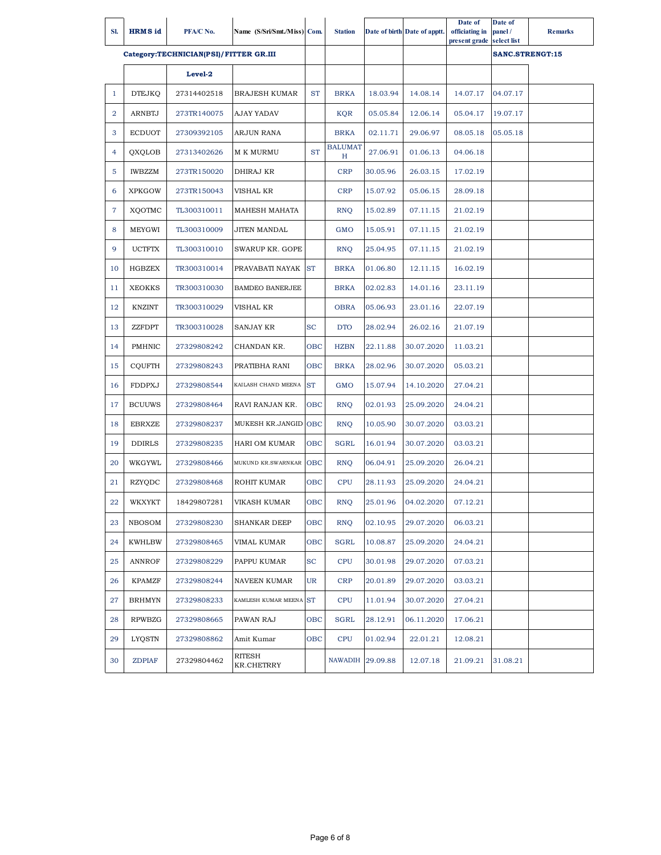| SI.            | <b>HRMS</b> id | PFA/C No.                              | Name (S/Sri/Smt./Miss) Com. |           | <b>Station</b>      |          | Date of birth Date of apptt. | Date of<br>officiating in<br>present grade | Date of<br>panel/<br>select list | <b>Remarks</b> |
|----------------|----------------|----------------------------------------|-----------------------------|-----------|---------------------|----------|------------------------------|--------------------------------------------|----------------------------------|----------------|
|                |                | Category:TECHNICIAN(PSI)/FITTER GR.III |                             |           |                     |          |                              |                                            | SANC.STRENGT:15                  |                |
|                |                | Level-2                                |                             |           |                     |          |                              |                                            |                                  |                |
| $\mathbf{1}$   | <b>DTEJKQ</b>  | 27314402518                            | <b>BRAJESH KUMAR</b>        | <b>ST</b> | <b>BRKA</b>         | 18.03.94 | 14.08.14                     | 14.07.17                                   | 04.07.17                         |                |
| $\overline{2}$ | ARNBTJ         | 273TR140075                            | AJAY YADAV                  |           | <b>KQR</b>          | 05.05.84 | 12.06.14                     | 05.04.17                                   | 19.07.17                         |                |
| 3              | <b>ECDUOT</b>  | 27309392105                            | <b>ARJUN RANA</b>           |           | <b>BRKA</b>         | 02.11.71 | 29.06.97                     | 08.05.18                                   | 05.05.18                         |                |
| 4              | QXQLOB         | 27313402626                            | <b>M K MURMU</b>            | <b>ST</b> | <b>BALUMAT</b><br>Η | 27.06.91 | 01.06.13                     | 04.06.18                                   |                                  |                |
| 5              | <b>IWBZZM</b>  | 273TR150020                            | DHIRAJ KR                   |           | <b>CRP</b>          | 30.05.96 | 26.03.15                     | 17.02.19                                   |                                  |                |
| 6              | <b>XPKGOW</b>  | 273TR150043                            | VISHAL KR                   |           | <b>CRP</b>          | 15.07.92 | 05.06.15                     | 28.09.18                                   |                                  |                |
| $\overline{7}$ | XQOTMC         | TL300310011                            | MAHESH MAHATA               |           | <b>RNQ</b>          | 15.02.89 | 07.11.15                     | 21.02.19                                   |                                  |                |
| 8              | <b>MEYGWI</b>  | TL300310009                            | <b>JITEN MANDAL</b>         |           | <b>GMO</b>          | 15.05.91 | 07.11.15                     | 21.02.19                                   |                                  |                |
| 9              | <b>UCTFTX</b>  | TL300310010                            | <b>SWARUP KR. GOPE</b>      |           | <b>RNQ</b>          | 25.04.95 | 07.11.15                     | 21.02.19                                   |                                  |                |
| 10             | <b>HGBZEX</b>  | TR300310014                            | PRAVABATI NAYAK ST          |           | <b>BRKA</b>         | 01.06.80 | 12.11.15                     | 16.02.19                                   |                                  |                |
| 11             | <b>XEOKKS</b>  | TR300310030                            | <b>BAMDEO BANERJEE</b>      |           | <b>BRKA</b>         | 02.02.83 | 14.01.16                     | 23.11.19                                   |                                  |                |
| 12             | <b>KNZINT</b>  | TR300310029                            | VISHAL KR                   |           | <b>OBRA</b>         | 05.06.93 | 23.01.16                     | 22.07.19                                   |                                  |                |
| 13             | <b>ZZFDPT</b>  | TR300310028                            | SANJAY KR                   | <b>SC</b> | <b>DTO</b>          | 28.02.94 | 26.02.16                     | 21.07.19                                   |                                  |                |
| 14             | PMHNIC         | 27329808242                            | CHANDAN KR.                 | OBC       | <b>HZBN</b>         | 22.11.88 | 30.07.2020                   | 11.03.21                                   |                                  |                |
| 15             | <b>CQUFTH</b>  | 27329808243                            | PRATIBHA RANI               | OBC       | <b>BRKA</b>         | 28.02.96 | 30.07.2020                   | 05.03.21                                   |                                  |                |
| 16             | <b>FDDPXJ</b>  | 27329808544                            | KAILASH CHAND MEENA         | <b>ST</b> | <b>GMO</b>          | 15.07.94 | 14.10.2020                   | 27.04.21                                   |                                  |                |
| 17             | <b>BCUUWS</b>  | 27329808464                            | RAVI RANJAN KR.             | OBC       | <b>RNQ</b>          | 02.01.93 | 25.09.2020                   | 24.04.21                                   |                                  |                |
| 18             | <b>EBRXZE</b>  | 27329808237                            | MUKESH KR.JANGID OBC        |           | <b>RNQ</b>          | 10.05.90 | 30.07.2020                   | 03.03.21                                   |                                  |                |
| 19             | <b>DDIRLS</b>  | 27329808235                            | <b>HARI OM KUMAR</b>        | OBC       | <b>SGRL</b>         | 16.01.94 | 30.07.2020                   | 03.03.21                                   |                                  |                |
| 20             | WKGYWL         | 27329808466                            | MUKUND KR.SWARNKAR OBC      |           | <b>RNQ</b>          | 06.04.91 | 25.09.2020                   | 26.04.21                                   |                                  |                |
| 21             | <b>RZYQDC</b>  | 27329808468                            | <b>ROHIT KUMAR</b>          | OBC       | <b>CPU</b>          | 28.11.93 | 25.09.2020                   | 24.04.21                                   |                                  |                |
| 22             | WKXYKT         | 18429807281                            | VIKASH KUMAR                | OВC       | <b>RNQ</b>          | 25.01.96 | 04.02.2020                   | 07.12.21                                   |                                  |                |
| 23             | NBOSOM         | 27329808230                            | <b>SHANKAR DEEP</b>         | OBC       | <b>RNQ</b>          | 02.10.95 | 29.07.2020                   | 06.03.21                                   |                                  |                |
| 24             | <b>KWHLBW</b>  | 27329808465                            | VIMAL KUMAR                 | OBC       | <b>SGRL</b>         | 10.08.87 | 25.09.2020                   | 24.04.21                                   |                                  |                |
| 25             | ANNROF         | 27329808229                            | PAPPU KUMAR                 | SC        | <b>CPU</b>          | 30.01.98 | 29.07.2020                   | 07.03.21                                   |                                  |                |
| 26             | KPAMZF         | 27329808244                            | NAVEEN KUMAR                | UR        | <b>CRP</b>          | 20.01.89 | 29.07.2020                   | 03.03.21                                   |                                  |                |
| 27             | BRHMYN         | 27329808233                            | KAMLESH KUMAR MEENA ST      |           | <b>CPU</b>          | 11.01.94 | 30.07.2020                   | 27.04.21                                   |                                  |                |
| 28             | RPWBZG         | 27329808665                            | PAWAN RAJ                   | OBC       | SGRL                | 28.12.91 | 06.11.2020                   | 17.06.21                                   |                                  |                |
| 29             | LYQSTN         | 27329808862                            | Amit Kumar                  | OBC       | <b>CPU</b>          | 01.02.94 | 22.01.21                     | 12.08.21                                   |                                  |                |
| 30             | <b>ZDPIAF</b>  | 27329804462                            | RITESH<br>KR.CHETRRY        |           | <b>NAWADIH</b>      | 29.09.88 | 12.07.18                     | 21.09.21                                   | 31.08.21                         |                |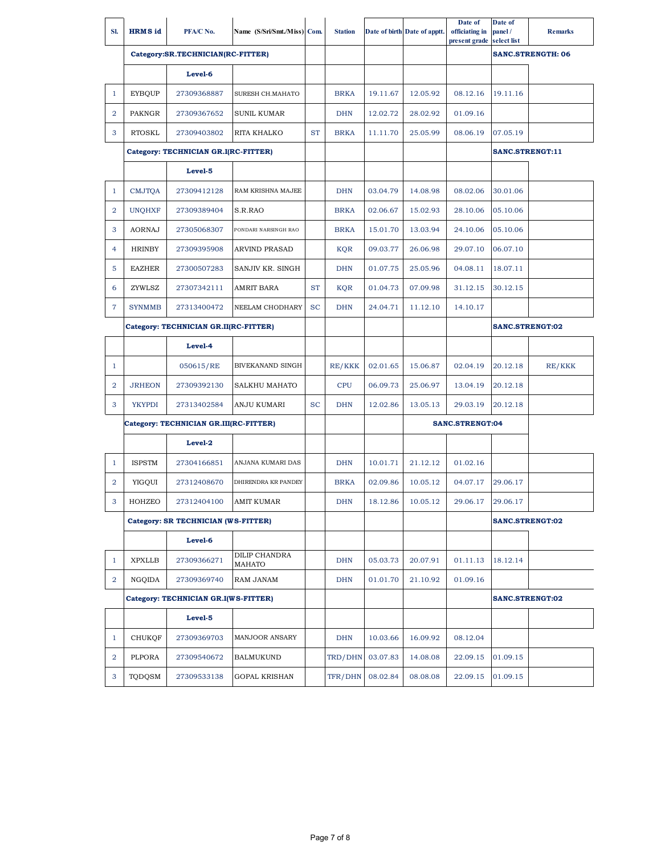| SI.            | <b>HRMS</b> id | PFA/C No.                              | Name (S/Sri/Smt./Miss) Com. |           | <b>Station</b> |          | Date of birth Date of apptt. | Date of<br>officiating in<br>present grade | Date of<br>panel/<br>select list | <b>Remarks</b>           |
|----------------|----------------|----------------------------------------|-----------------------------|-----------|----------------|----------|------------------------------|--------------------------------------------|----------------------------------|--------------------------|
|                |                | Category:SR.TECHNICIAN(RC-FITTER)      |                             |           |                |          |                              |                                            |                                  | <b>SANC.STRENGTH: 06</b> |
|                |                | Level-6                                |                             |           |                |          |                              |                                            |                                  |                          |
| $\mathbf{1}$   | <b>EYBQUP</b>  | 27309368887                            | SURESH CH.MAHATO            |           | <b>BRKA</b>    | 19.11.67 | 12.05.92                     | 08.12.16                                   | 19.11.16                         |                          |
| $\overline{2}$ | PAKNGR         | 27309367652                            | <b>SUNIL KUMAR</b>          |           | <b>DHN</b>     | 12.02.72 | 28.02.92                     | 01.09.16                                   |                                  |                          |
| 3              | <b>RTOSKL</b>  | 27309403802                            | <b>RITA KHALKO</b>          | <b>ST</b> | <b>BRKA</b>    | 11.11.70 | 25.05.99                     | 08.06.19                                   | 07.05.19                         |                          |
|                |                | Category: TECHNICIAN GR.I(RC-FITTER)   |                             |           |                |          |                              |                                            | SANC.STRENGT:11                  |                          |
|                |                | Level-5                                |                             |           |                |          |                              |                                            |                                  |                          |
| $\mathbf{1}$   | <b>CMJTQA</b>  | 27309412128                            | RAM KRISHNA MAJEE           |           | <b>DHN</b>     | 03.04.79 | 14.08.98                     | 08.02.06                                   | 30.01.06                         |                          |
| $\overline{2}$ | <b>UNQHXF</b>  | 27309389404                            | S.R.RAO                     |           | <b>BRKA</b>    | 02.06.67 | 15.02.93                     | 28.10.06                                   | 05.10.06                         |                          |
| 3              | <b>AORNAJ</b>  | 27305068307                            | PONDARI NARSINGH RAO        |           | <b>BRKA</b>    | 15.01.70 | 13.03.94                     | 24.10.06                                   | 05.10.06                         |                          |
| 4              | <b>HRINBY</b>  | 27309395908                            | <b>ARVIND PRASAD</b>        |           | <b>KQR</b>     | 09.03.77 | 26.06.98                     | 29.07.10                                   | 06.07.10                         |                          |
| 5              | <b>EAZHER</b>  | 27300507283                            | SANJIV KR. SINGH            |           | <b>DHN</b>     | 01.07.75 | 25.05.96                     | 04.08.11                                   | 18.07.11                         |                          |
| 6              | ZYWLSZ         | 27307342111                            | <b>AMRIT BARA</b>           | <b>ST</b> | <b>KQR</b>     | 01.04.73 | 07.09.98                     | 31.12.15                                   | 30.12.15                         |                          |
| $\overline{7}$ | <b>SYNMMB</b>  | 27313400472                            | NEELAM CHODHARY             | <b>SC</b> | <b>DHN</b>     | 24.04.71 | 11.12.10                     | 14.10.17                                   |                                  |                          |
|                |                | Category: TECHNICIAN GR.II(RC-FITTER)  |                             |           |                |          |                              |                                            | SANC.STRENGT:02                  |                          |
|                |                | Level-4                                |                             |           |                |          |                              |                                            |                                  |                          |
| $\mathbf{1}$   |                | 050615/RE                              | BIVEKANAND SINGH            |           | RE/KKK         | 02.01.65 | 15.06.87                     | 02.04.19                                   | 20.12.18                         | RE/KKK                   |
| $\overline{2}$ | <b>JRHEON</b>  | 27309392130                            | SALKHU MAHATO               |           | <b>CPU</b>     | 06.09.73 | 25.06.97                     | 13.04.19                                   | 20.12.18                         |                          |
| 3              | <b>YKYPDI</b>  | 27313402584                            | <b>ANJU KUMARI</b>          | <b>SC</b> | <b>DHN</b>     | 12.02.86 | 13.05.13                     | 29.03.19                                   | 20.12.18                         |                          |
|                |                | Category: TECHNICIAN GR.III(RC-FITTER) |                             |           |                |          |                              | SANC.STRENGT:04                            |                                  |                          |
|                |                | Level-2                                |                             |           |                |          |                              |                                            |                                  |                          |
| $\mathbf{1}$   | <b>ISPSTM</b>  | 27304166851                            | ANJANA KUMARI DAS           |           | <b>DHN</b>     | 10.01.71 | 21.12.12                     | 01.02.16                                   |                                  |                          |
| $\overline{2}$ | YIGQUI         | 27312408670                            | DHIRENDRA KR PANDEY         |           | <b>BRKA</b>    | 02.09.86 | 10.05.12                     | 04.07.17                                   | 29.06.17                         |                          |
| 3              | $\rm HOHZEO$   | 27312404100                            | <b>AMIT KUMAR</b>           |           | DHN            | 18.12.86 | 10.05.12                     | 29.06.17 29.06.17                          |                                  |                          |
|                |                | Category: SR TECHNICIAN (WS-FITTER)    |                             |           |                |          |                              |                                            | SANC.STRENGT:02                  |                          |
|                |                | Level-6                                |                             |           |                |          |                              |                                            |                                  |                          |
| $\mathbf{1}$   | XPXLLB         | 27309366271                            | DILIP CHANDRA<br>MAHATO     |           | <b>DHN</b>     | 05.03.73 | 20.07.91                     | 01.11.13                                   | 18.12.14                         |                          |
| $\overline{2}$ | NGQIDA         | 27309369740                            | RAM JANAM                   |           | <b>DHN</b>     | 01.01.70 | 21.10.92                     | 01.09.16                                   |                                  |                          |
|                |                | Category: TECHNICIAN GR.I(WS-FITTER)   |                             |           |                |          |                              |                                            |                                  | SANC.STRENGT:02          |
|                |                | Level-5                                |                             |           |                |          |                              |                                            |                                  |                          |
| $\mathbf{1}$   | CHUKQF         | 27309369703                            | <b>MANJOOR ANSARY</b>       |           | <b>DHN</b>     | 10.03.66 | 16.09.92                     | 08.12.04                                   |                                  |                          |
| $\overline{2}$ | PLPORA         | 27309540672                            | <b>BALMUKUND</b>            |           | TRD/DHN        | 03.07.83 | 14.08.08                     | 22.09.15                                   | 01.09.15                         |                          |
| 3              | TQDQSM         | 27309533138                            | <b>GOPAL KRISHAN</b>        |           | TFR/DHN        | 08.02.84 | 08.08.08                     | 22.09.15                                   | 01.09.15                         |                          |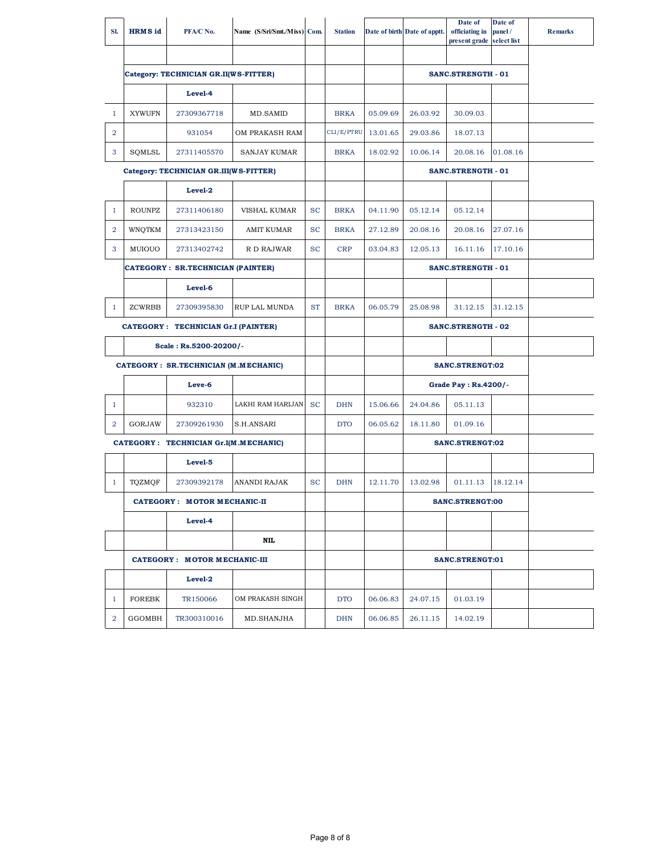| SI.            | <b>HRMS</b> id | PFA/C No.                                | Name (S/Sri/Smt./Miss) Com. |           | <b>Station</b> |          | Date of birth Date of apptt. | Date of<br>officiating in<br>present grade | Date of<br>panel/<br>select list | <b>Remarks</b> |
|----------------|----------------|------------------------------------------|-----------------------------|-----------|----------------|----------|------------------------------|--------------------------------------------|----------------------------------|----------------|
|                |                |                                          |                             |           |                |          |                              |                                            |                                  |                |
|                |                | Category: TECHNICIAN GR.II(WS-FITTER)    |                             |           |                |          |                              | <b>SANC.STRENGTH - 01</b>                  |                                  |                |
|                |                | Level-4                                  |                             |           |                |          |                              |                                            |                                  |                |
| $\mathbf{1}$   | <b>XYWUFN</b>  | 27309367718                              | MD.SAMID                    |           | <b>BRKA</b>    | 05.09.69 | 26.03.92                     | 30.09.03                                   |                                  |                |
| 2              |                | 931054                                   | OM PRAKASH RAM              |           | CLI/E/PTRU     | 13.01.65 | 29.03.86                     | 18.07.13                                   |                                  |                |
| 3              | SQMLSL         | 27311405570                              | <b>SANJAY KUMAR</b>         |           | <b>BRKA</b>    | 18.02.92 | 10.06.14                     | 20.08.16                                   | 01.08.16                         |                |
|                |                | Category: TECHNICIAN GR.III(WS-FITTER)   |                             |           |                |          |                              | <b>SANC.STRENGTH - 01</b>                  |                                  |                |
|                |                | Level-2                                  |                             |           |                |          |                              |                                            |                                  |                |
| $\mathbf{1}$   | <b>ROUNPZ</b>  | 27311406180                              | VISHAL KUMAR                | <b>SC</b> | <b>BRKA</b>    | 04.11.90 | 05.12.14                     | 05.12.14                                   |                                  |                |
| $\overline{2}$ | WNQTKM         | 27313423150                              | AMIT KUMAR                  | <b>SC</b> | <b>BRKA</b>    | 27.12.89 | 20.08.16                     | 20.08.16                                   | 27.07.16                         |                |
| 3              | MUIOUO         | 27313402742                              | R D RAJWAR                  | <b>SC</b> | <b>CRP</b>     | 03.04.83 | 12.05.13                     | 16.11.16                                   | 17.10.16                         |                |
|                |                | <b>CATEGORY: SR.TECHNICIAN (PAINTER)</b> |                             |           |                |          |                              | <b>SANC.STRENGTH - 01</b>                  |                                  |                |
|                |                | Level-6                                  |                             |           |                |          |                              |                                            |                                  |                |
| $\mathbf{1}$   | ZCWRBB         | 27309395830                              | <b>RUP LAL MUNDA</b>        | <b>ST</b> | <b>BRKA</b>    | 06.05.79 | 25.08.98                     | 31.12.15                                   | 31.12.15                         |                |
|                |                | CATEGORY : TECHNICIAN Gr.I (PAINTER)     |                             |           |                |          |                              | <b>SANC.STRENGTH - 02</b>                  |                                  |                |
|                |                | Scale: Rs.5200-20200/-                   |                             |           |                |          |                              |                                            |                                  |                |
|                |                | CATEGORY : SR.TECHNICIAN (M.MECHANIC)    |                             |           |                |          |                              | SANC.STRENGT:02                            |                                  |                |
|                |                | Leve-6                                   |                             |           |                |          |                              | Grade Pay: Rs.4200/-                       |                                  |                |
| $\mathbf{1}$   |                | 932310                                   | LAKHI RAM HARIJAN           | <b>SC</b> | <b>DHN</b>     | 15.06.66 | 24.04.86                     | 05.11.13                                   |                                  |                |
| 2              | GORJAW         | 27309261930                              | S.H.ANSARI                  |           | <b>DTO</b>     | 06.05.62 | 18.11.80                     | 01.09.16                                   |                                  |                |
|                |                | CATEGORY : TECHNICIAN Gr.I(M.MECHANIC)   |                             |           |                |          |                              | SANC.STRENGT:02                            |                                  |                |
|                |                | Level-5                                  |                             |           |                |          |                              |                                            |                                  |                |
| $\mathbf{1}$   | TQZMQF         | 27309392178                              | <b>ANANDI RAJAK</b>         | <b>SC</b> | <b>DHN</b>     | 12.11.70 | 13.02.98                     | 01.11.13                                   | 18.12.14                         |                |
|                |                | CATEGORY: MOTOR MECHANIC-II              |                             |           |                |          |                              | <b>SANC.STRENGT:00</b>                     |                                  |                |
|                |                | Level-4                                  |                             |           |                |          |                              |                                            |                                  |                |
|                |                |                                          | NIL                         |           |                |          |                              |                                            |                                  |                |
|                |                | <b>CATEGORY: MOTOR MECHANIC-III</b>      |                             |           |                |          |                              | SANC.STRENGT:01                            |                                  |                |
|                |                | Level-2                                  |                             |           |                |          |                              |                                            |                                  |                |
| $\mathbf{1}$   | <b>FOREBK</b>  | TR150066                                 | OM PRAKASH SINGH            |           | <b>DTO</b>     | 06.06.83 | 24.07.15                     | 01.03.19                                   |                                  |                |
| $\overline{2}$ | GGOMBH         | TR300310016                              | MD.SHANJHA                  |           | <b>DHN</b>     | 06.06.85 | 26.11.15                     | 14.02.19                                   |                                  |                |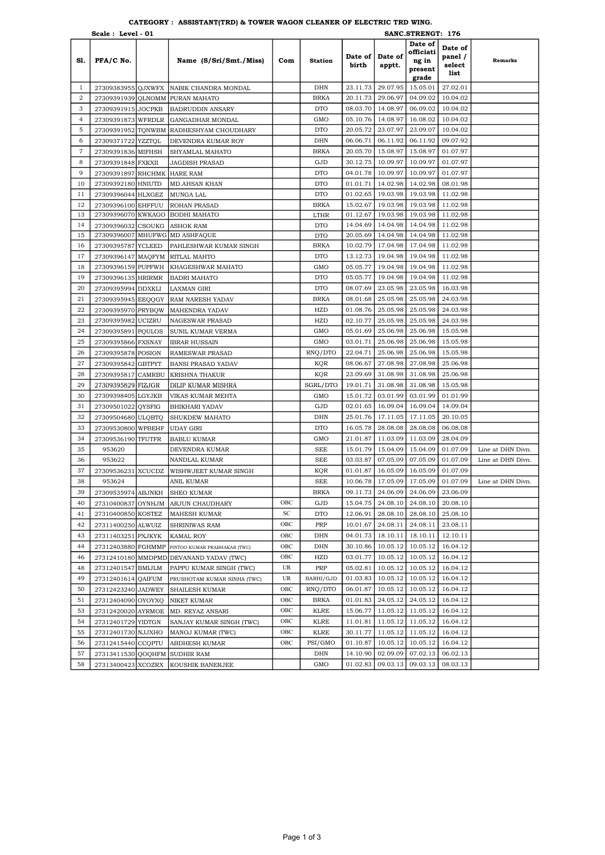|                                | Scale: Level - 01                 |                         |                                                    |     |                           | SANC.STRENGT: 176    |                      |                                          |                                      |                   |
|--------------------------------|-----------------------------------|-------------------------|----------------------------------------------------|-----|---------------------------|----------------------|----------------------|------------------------------------------|--------------------------------------|-------------------|
| S1.                            | PFA/C No.                         |                         | Name (S/Sri/Smt./Miss)                             | Com | <b>Station</b>            | Date of<br>birth     | Date of<br>apptt.    | Date of<br>officiati<br>ng in<br>present | Date of<br>panel /<br>select<br>list | <b>Remarks</b>    |
|                                |                                   |                         |                                                    |     | DHN                       |                      |                      | grade                                    | 27.02.01                             |                   |
| $\mathbf{1}$<br>$\overline{2}$ | 27309383955 QJXWFX                |                         | NABIK CHANDRA MONDAL                               |     |                           | 23.11.73             | 29.07.95             | 15.05.01                                 |                                      |                   |
| 3                              |                                   |                         | 27309391939 QLNOMM PURAN MAHATO                    |     | <b>BRKA</b><br><b>DTO</b> | 20.11.73             | 29.06.97             | 04.09.02                                 | 10.04.02                             |                   |
| $\overline{4}$                 | 27309391915 JOCPKB                |                         | <b>BADRUDDIN ANSARY</b>                            |     |                           | 08.03.70             | 14.08.97             | 06.09.02                                 | 10.04.02                             |                   |
|                                | 27309391873                       | <b>WFRDLR</b>           | GANGADHAR MONDAL                                   |     | GMO                       | 05.10.76             | 14.08.97             | 16.08.02                                 | 10.04.02                             |                   |
| 5                              | 27309391952                       |                         | TQNWBM RADHESHYAM CHOUDHARY                        |     | <b>DTO</b>                | 20.05.72             | 23.07.97             | 23.09.07                                 | 10.04.02                             |                   |
| 6                              | 27309371722 YZZTQL                |                         | DEVENDRA KUMAR ROY                                 |     | DHN                       | 06.06.71             | 06.11.92             | 06.11.92                                 | 09.07.92                             |                   |
| $\tau$                         | 27309391836 MIFHSH                |                         | SHYAMLAL MAHATO                                    |     | <b>BRKA</b>               | 20.05.70             | 15.08.97             | 15.08.97                                 | 01.07.97                             |                   |
| 8                              | 27309391848                       | <b>FXKXII</b>           | <b>JAGDISH PRASAD</b>                              |     | GJD                       | 30.12.75             | 10.09.97             | 10.09.97                                 | 01.07.97                             |                   |
| 9                              | 27309391897                       |                         | RHCHMK HARE RAM                                    |     | <b>DTO</b>                | 04.01.78             | 10.09.97             | 10.09.97                                 | 01.07.97                             |                   |
| 10                             | 27309392180 HNIUTD                |                         | <b>MD.AHSAN KHAN</b>                               |     | <b>DTO</b>                | 01.01.71             | 14.02.98             | 14.02.98                                 | 08.01.98                             |                   |
| 11                             | 27309396044 HLXGEZ                |                         | MUNGA LAL                                          |     | <b>DTO</b>                | 01.02.65             | 19.03.98             | 19.03.98                                 | 11.02.98                             |                   |
| 12                             | 27309396100 EHFFUU                |                         | <b>ROHAN PRASAD</b>                                |     | <b>BRKA</b>               | 15.02.67             | 19.03.98             | 19.03.98                                 | 11.02.98                             |                   |
| 13<br>14                       | 27309396070 KWKAGO                |                         | <b>BODHI MAHATO</b>                                |     | LTHR                      | 01.12.67<br>14.04.69 | 19.03.98<br>14.04.98 | 19.03.98<br>14.04.98                     | 11.02.98<br>11.02.98                 |                   |
| 15                             | 27309396032<br>27309396007        | <b>CSOUKG</b>           | <b>ASHOK RAM</b><br>MHUFWG MD ASHFAQUE             |     | <b>DTO</b>                | 20.05.69             | 14.04.98             | 14.04.98                                 | 11.02.98                             |                   |
| 16                             | 27309395787                       | <b>YCLEED</b>           |                                                    |     | <b>DTO</b><br><b>BRKA</b> | 10.02.79             | 17.04.98             | 17.04.98                                 | 11.02.98                             |                   |
| 17                             |                                   |                         | PAHLESHWAR KUMAR SINGH                             |     | <b>DTO</b>                | 13.12.73             | 19.04.98             | 19.04.98                                 | 11.02.98                             |                   |
| 18                             | 27309396147 MAQFYM<br>27309396159 |                         | RITLAL MAHTO<br><b>KHAGESHWAR MAHATO</b>           |     | GMO                       | 05.05.77             | 19.04.98             | 19.04.98                                 | 11.02.98                             |                   |
| 19                             |                                   | <b>PUPFWH</b>           | <b>BADRI MAHATO</b>                                |     | <b>DTO</b>                | 05.05.77             | 19.04.98             | 19.04.98                                 | 11.02.98                             |                   |
| 20                             | 27309396135                       | <b>HRIRMR</b>           |                                                    |     |                           | 08.07.69             | 23.05.98             | 23.05.98                                 |                                      |                   |
| 21                             | 27309395994                       | <b>DDXKLI</b>           | <b>LAXMAN GIRI</b>                                 |     | <b>DTO</b>                | 08.01.68             | 25.05.98             | 25.05.98                                 | 16.03.98                             |                   |
| 22                             | 27309395945                       | <b>EEQQGY</b>           | <b>RAM NARESH YADAV</b>                            |     | BRKA<br>HZD               |                      | 25.05.98             | 25.05.98                                 | 24.03.98                             |                   |
| 23                             | 27309395970 PRYBQW<br>27309395982 |                         | <b>MAHENDRA YADAV</b>                              |     | HZD                       | 01.08.76<br>02.10.77 | 25.05.98             | 25.05.98                                 | 24.03.98<br>24.03.98                 |                   |
| 24                             | 27309395891                       | <b>UCIZRU</b>           | <b>NAGESWAR PRASAD</b>                             |     | GMO                       | 05.01.69             | 25.06.98             | 25.06.98                                 | 15.05.98                             |                   |
| 25                             |                                   | <b>PQULOS</b>           | SUNIL KUMAR VERMA                                  |     | GMO                       | 03.01.71             | 25.06.98             | 25.06.98                                 | 15.05.98                             |                   |
| 26                             | 27309395866                       | <b>FXSNAY</b>           | <b>IBRAR HUSSAIN</b>                               |     |                           | 22.04.71             | 25.06.98             | 25.06.98                                 | 15.05.98                             |                   |
| 27                             | 27309395878                       | <b>POSION</b>           | RAMESWAR PRASAD                                    |     | RNQ/DTO<br>KQR            | 08.06.67             | 27.08.98             | 27.08.98                                 | 25.06.98                             |                   |
| 28                             | 27309395842<br>27309395817        | <b>GBTPYT</b><br>CAMRBU | <b>BANSI PRASAD YADAV</b><br><b>KRISHNA THAKUR</b> |     | KQR                       | 23.09.69             | 31.08.98             | 31.08.98                                 | 25.06.98                             |                   |
| 29                             | 27309395829                       | <b>FIZJGR</b>           | DILIP KUMAR MISHRA                                 |     | SGRL/DTO                  | 19.01.71             | 31.08.98             | 31.08.98                                 | 15.05.98                             |                   |
| 30                             | 27309398405 LGYJKB                |                         | VIKAS KUMAR MEHTA                                  |     | GMO                       | 15.01.72             | 03.01.99             | 03.01.99                                 | 01.01.99                             |                   |
| 31                             | 27309501022                       | <b>QYSFIG</b>           | <b>BHIKHARI YADAV</b>                              |     | GJD                       | 02.01.65             | 16.09.04             | 16.09.04                                 | 14.09.04                             |                   |
| 32                             | 27309504680                       | <b>ULQBTQ</b>           | SHUKDEW MAHATO                                     |     | DHN                       | 25.01.76             | 17.11.05             | 17.11.05                                 | 20.10.05                             |                   |
| 33                             | 27309530800                       | <b>WPBEHF</b>           | <b>UDAY GIRI</b>                                   |     | <b>DTO</b>                | 16.05.78             | 28.08.08             | 28.08.08                                 | 06.08.08                             |                   |
| 34                             | 27309536190                       | <b>TFUTFR</b>           | <b>BABLU KUMAR</b>                                 |     | GMO                       | 21.01.87             | 11.03.09             | 11.03.09                                 | 28.04.09                             |                   |
| 35                             | 953620                            |                         | DEVENDRA KUMAR                                     |     | <b>SEE</b>                | 15.01.79             | 15.04.09             | 15.04.09                                 | 01.07.09                             | Line at DHN Divn. |
| 36                             | 953622                            |                         | NANDLAL KUMAR                                      |     | <b>SEE</b>                | 03.03.87             | 07.05.09             | 07.05.09                                 | 01.07.09                             | Line at DHN Divn. |
| 37                             | 27309536231                       | <b>XCUCDZ</b>           | WISHWJEET KUMAR SINGH                              |     | KQR                       | 01.01.87             | 16.05.09             | 16.05.09                                 | 01.07.09                             |                   |
| 38                             | 953624                            |                         | ANIL KUMAR                                         |     | <b>SEE</b>                | 10.06.78             | 17.05.09             | 17.05.09                                 | 01.07.09                             | Line at DHN Divn. |
| 39                             | 27309535974 ABJNKH                |                         | <b>SHEO KUMAR</b>                                  |     | BRKA                      | 09.11.73             |                      | 24.06.09 24.06.09                        | 23.06.09                             |                   |
| 40                             | 27310400837                       | OYNHJM                  | ARJUN CHAUDHARY                                    | OBC | GJD                       | 15.04.75             | 24.08.10             | 24.08.10                                 | 20.08.10                             |                   |
| 41                             | 27310400850 KOSTEZ                |                         | <b>MAHESH KUMAR</b>                                | SC  | <b>DTO</b>                | 12.06.91             | 28.08.10             | 28.08.10                                 | 25.08.10                             |                   |
| 42                             | 27311400250 ALWUIZ                |                         | SHRINIWAS RAM                                      | OBC | PRP                       | 10.01.67             | 24.08.11             | 24.08.11                                 | 23.08.11                             |                   |
| 43                             | 27311403251 PXJKYK                |                         | KAMAL ROY                                          | OBC | DHN                       | 04.01.73             | 18.10.11             | 18.10.11                                 | 12.10.11                             |                   |
| 44                             |                                   |                         | 27312403880 FGHMMP PINTOO KUMAR PRABHAKAR (TWC)    | OBC | DHN                       | 30.10.86             | 10.05.12             | 10.05.12                                 | 16.04.12                             |                   |
| 46                             |                                   |                         | 27312410180 MMDPMD DEVANAND YADAV (TWC)            | OBC | HZD                       | 03.01.77             | 10.05.12             | 10.05.12                                 | 16.04.12                             |                   |
| 48                             | 27312401547 BMIJLM                |                         | PAPPU KUMAR SINGH (TWC)                            | UR  | PRP                       | 05.02.81             | 10.05.12             | 10.05.12                                 | 16.04.12                             |                   |
| 49                             | 27312401614 QAIFUM                |                         | PRUSHOTAM KUMAR SINHA (TWC)                        | UR  | BARHI/GJD                 | 01.03.83             | 10.05.12             | 10.05.12                                 | 16.04.12                             |                   |
| 50                             | 27312423240 JADWEY                |                         | SHAILESH KUMAR                                     | OBC | RNQ/DTO                   | 06.01.87             | 10.05.12             | 10.05.12                                 | 16.04.12                             |                   |
| 51                             | 27312404090                       | OYOYXQ                  | NIKET KUMAR                                        | OBC | <b>BRKA</b>               | 01.01.83             | 24.05.12             | 24.05.12                                 | 16.04.12                             |                   |
| 53                             | 27312420020                       | <b>AYRMOE</b>           | MD. REYAZ ANSARI                                   | OBC | <b>KLRE</b>               | 15.06.77             | 11.05.12             | 11.05.12                                 | 16.04.12                             |                   |
| 54                             | 27312401729 YIDTGN                |                         | SANJAY KUMAR SINGH (TWC)                           | OBC | <b>KLRE</b>               | 11.01.81             | 11.05.12             | 11.05.12                                 | 16.04.12                             |                   |
| 55                             | 27312401730 NJJXHO                |                         | MANOJ KUMAR (TWC)                                  | OBC | <b>KLRE</b>               | 30.11.77             | 11.05.12             | 11.05.12                                 | 16.04.12                             |                   |
| 56                             | 27312415440 CCQPTU                |                         | ABDHESH KUMAR                                      | OBC | PSI/GMO                   | 01.10.87             | 10.05.12             | 10.05.12                                 | 16.04.12                             |                   |
| 57                             | 27313411530 QOQHFM SUDHIR RAM     |                         |                                                    |     | DHN                       | 14.10.90             | 02.09.09             | 07.02.13                                 | 06.02.13                             |                   |
| 58                             |                                   |                         | 27313400423 XCOZRX KOUSHIK BANERJEE                |     | GMO                       | 01.02.83             | 09.03.13             | 09.03.13                                 | 08.03.13                             |                   |

### CATEGORY : ASSISTANT(TRD) & TOWER WAGON CLEANER OF ELECTRIC TRD WING.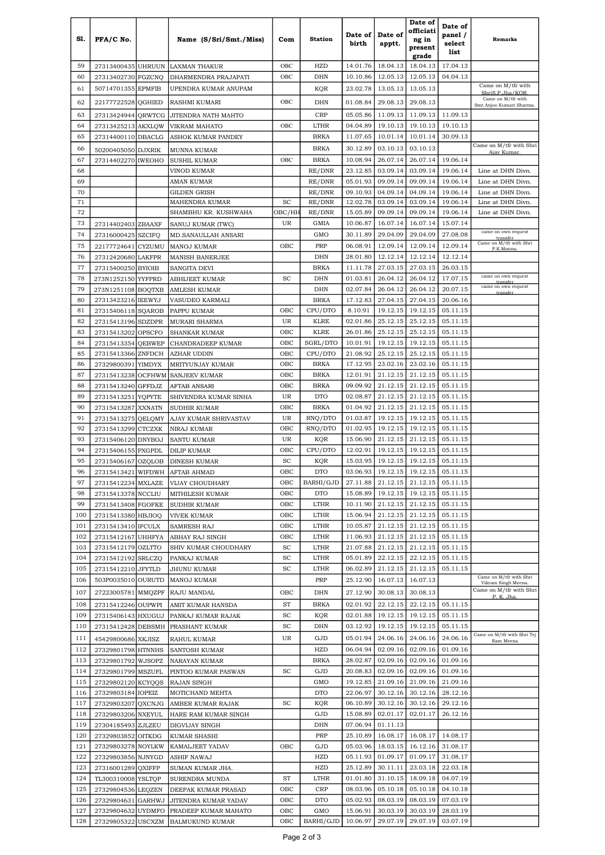| S1.        | PFA/C No.                                |               | Name (S/Sri/Smt./Miss)                           | Com                         | <b>Station</b>         | Date of<br>birth     | Date of<br>apptt.    | Date of<br>officiati<br>ng in<br>present<br>grade | Date of<br>panel /<br>select<br>list | <b>Remarks</b>                                         |
|------------|------------------------------------------|---------------|--------------------------------------------------|-----------------------------|------------------------|----------------------|----------------------|---------------------------------------------------|--------------------------------------|--------------------------------------------------------|
| 59         | 27313400435 UHRUUN                       |               | LAXMAN THAKUR                                    | OBC                         | HZD                    | 14.01.76             | 18.04.13             | 18.04.13                                          | 17.04.13                             |                                                        |
| 60         | 27313402730 FGZCNQ                       |               | DHARMENDRA PRAJAPATI                             | OBC                         | DHN                    | 10.10.86             | 12.05.13             | 12.05.13                                          | 04.04.13                             |                                                        |
| 61         | 50714701355 EPMFIB                       |               | UPENDRA KUMAR ANUPAM                             |                             | KQR                    | 23.02.78             | 13.05.13             | 13.05.13                                          |                                      | Came on M/tfr with                                     |
| 62         | 22177722528                              | QGHIED        | RASHMI KUMARI                                    | OBC                         | DHN                    | 01.08.84             | 29.08.13             | 29.08.13                                          |                                      | ShriS.P.Jha/KOR<br>Came on M/tfr with                  |
| 63         |                                          |               |                                                  |                             |                        | 05.05.86             | 11.09.13             | 11.09.13                                          | 11.09.13                             | Smt.Anjoo Kumari Sharma.                               |
| 64         | 27313424944 QRWTCG                       |               | JITENDRA NATH MAHTO                              | OBC                         | CRP<br>LTHR            | 04.04.89             | 19.10.13             | 19.10.13                                          | 19.10.13                             |                                                        |
| 65         | 27313425213<br>27314400110 DBACLG        | <b>AKXLQW</b> | VIKRAM MAHATO<br>ASHOK KUMAR PANDEY              |                             | <b>BRKA</b>            | 11.07.65             | 10.01.14             | 10.01.14                                          | 30.09.13                             |                                                        |
| 66         |                                          |               |                                                  |                             | <b>BRKA</b>            | 30.12.89             | 03.10.13             | 03.10.13                                          |                                      | Came on M/tfr with Shri                                |
| 67         | 50200405050 DJXRIK<br>27314402270        | <b>IWEOHO</b> | MUNNA KUMAR<br><b>SUSHIL KUMAR</b>               | OBC                         | <b>BRKA</b>            | 10.08.94             | 26.07.14             | 26.07.14                                          | 19.06.14                             | Ajay Kumar.                                            |
| 68         |                                          |               | VINOD KUMAR                                      |                             | RE/DNR                 | 23.12.85             | 03.09.14             | 03.09.14                                          | 19.06.14                             | Line at DHN Divn.                                      |
| 69         |                                          |               | AMAN KUMAR                                       |                             | RE/DNR                 | 05.01.93             | 09.09.14             | 09.09.14                                          | 19.06.14                             | Line at DHN Divn.                                      |
| 70         |                                          |               | <b>GILDEN GRISH</b>                              |                             | RE/DNR                 | 09.10.93             | 04.09.14             | 04.09.14                                          | 19.06.14                             | Line at DHN Divn.                                      |
| 71         |                                          |               | MAHENDRA KUMAR                                   | SC                          | RE/DNR                 | 12.02.78             | 03.09.14             | 03.09.14                                          | 19.06.14                             | Line at DHN Divn.                                      |
| 72         |                                          |               | SHAMBHU KR. KUSHWAHA                             | OBC/HH                      | RE/DNR                 | 15.05.89             | 09.09.14             | 09.09.14                                          | 19.06.14                             | Line at DHN Divn.                                      |
| 73         | 27314402403 ZBAAXF                       |               | SANUJ KUMAR (TWC)                                | UR                          | GMIA                   | 10.06.87             | 16.07.14             | 16.07.14                                          | 15.07.14                             |                                                        |
| 74         | 27316000425                              | <b>SZCIFQ</b> | MD.SANAULLAH ANSARI                              |                             | GMO                    | 30.11.89             | 29.04.09             | 29.04.09                                          | 27.08.08                             | came on own request<br>transfer                        |
| 75         | 22177724641                              | CYZUMU        | MANOJ KUMAR                                      | OBC                         | PRP                    | 06.08.91             | 12.09.14             | 12.09.14                                          | 12.09.14                             | Came on M/tfr with Shri<br>P.K.Manna.                  |
| 76         | 27312420680                              | <b>LAKFPR</b> | <b>MANISH BANERJEE</b>                           |                             | DHN                    | 28.01.80             | 12.12.14             | 12.12.14                                          | 12.12.14                             |                                                        |
| 77         | 27315400250 BYIOIB                       |               | <b>SANGITA DEVI</b>                              |                             | BRKA                   | 11.11.78             | 27.03.15             | 27.03.15                                          | 26.03.15                             |                                                        |
| 78         | 273N1252150 YYFPRD                       |               | <b>ABHIJEET KUMAR</b>                            | SC                          | DHN                    | 01.03.81             | 26.04.12             | 26.04.12                                          | 17.07.15                             | came on own request<br>transfer<br>came on own request |
| 79         | 273N1251108 BOQTXB                       |               | <b>AMLESH KUMAR</b>                              |                             | DHN                    | 02.07.84             | 26.04.12             | 26.04.12                                          | 20.07.15                             | transfer                                               |
| 80         | 27313423216 IEEWYJ                       |               | VASUDEO KARMALI                                  |                             | <b>BRKA</b>            | 17.12.83             | 27.04.15             | 27.04.15                                          | 20.06.16                             |                                                        |
| 81<br>82   | 27315406118 SQAROB                       |               | PAPPU KUMAR                                      | OBC<br>UR                   | CPU/DTO<br><b>KLRE</b> | 8.10.91<br>02.01.86  | 19.12.15             | 19.12.15<br>25.12.15                              | 05.11.15<br>05.11.15                 |                                                        |
| 83         | 27315413196 SDZDPR<br>27315413202        | <b>OPSCFO</b> | MURARI SHARMA<br>SHANKAR KUMAR                   | OBC                         | <b>KLRE</b>            | 26.01.86             | 25.12.15<br>25.12.15 | 25.12.15                                          | 05.11.15                             |                                                        |
| 84         | 27315413354                              | <b>QEBWEP</b> | CHANDRADEEP KUMAR                                | OBC                         | SGRL/DTO               | 10.01.91             | 19.12.15             | 19.12.15                                          | 05.11.15                             |                                                        |
| 85         | 27315413366                              | <b>ZNFDCH</b> | AZHAR UDDIN                                      | OBC                         | CPU/DTO                | 21.08.92             | 25.12.15             | 25.12.15                                          | 05.11.15                             |                                                        |
| 86         | 27329800391                              | <b>YIMDYX</b> | MRITYUNJAY KUMAR                                 | OBC                         | <b>BRKA</b>            | 17.12.95             | 23.02.16             | 23.02.16                                          | 05.11.15                             |                                                        |
| 87         | 27315413238                              | <b>OCFHWM</b> | <b>SANJEEV KUMAR</b>                             | OBC                         | <b>BRKA</b>            | 12.01.91             | 21.12.15             | 21.12.15                                          | 05.11.15                             |                                                        |
| 88         | 27315413240 GFFDJZ                       |               | AFTAB ANSARI                                     | OBC                         | <b>BRKA</b>            | 09.09.92             | 21.12.15             | 21.12.15                                          | 05.11.15                             |                                                        |
| 89         | 27315413251                              | <b>YOPYTE</b> | SHIVENDRA KUMAR SINHA                            | UR                          | <b>DTO</b>             | 02.08.87             | 21.12.15             | 21.12.15                                          | 05.11.15                             |                                                        |
| 90         | 27315413287                              | <b>XXNATN</b> | SUDHIR KUMAR                                     | OBC                         | <b>BRKA</b>            | 01.04.92             | 21.12.15             | 21.12.15                                          | 05.11.15                             |                                                        |
| 91         | 27315413275                              | QELQMY        | AJAY KUMAR SHRIVASTAV                            | UR                          | RNQ/DTO                | 01.03.87             | 19.12.15             | 19.12.15                                          | 05.11.15                             |                                                        |
| 92         | 27315413299                              | <b>CTCZXK</b> | NIRAJ KUMAR                                      | OBC                         | RNQ/DTO                | 01.02.95             | 19.12.15             | 19.12.15                                          | 05.11.15                             |                                                        |
| 93         | 27315406120                              | <b>DNYBOJ</b> | SANTU KUMAR                                      | UR                          | KQR                    | 15.06.90             | 21.12.15             | 21.12.15                                          | 05.11.15                             |                                                        |
| 94         | 27315406155                              | <b>PXGPDL</b> | <b>DILIP KUMAR</b>                               | овс                         | CPU/DTO                | 12.02.91             | 19.12.15             | 19.12.15                                          | 05.11.15                             |                                                        |
| 95<br>96   | 27315406167 OZQLOB                       |               | DINESH KUMAR                                     | SC<br>OBC                   | KQR<br><b>DTO</b>      | 15.03.95<br>03.06.93 | 19.12.15<br>19.12.15 | 19.12.15<br>19.12.15                              | 05.11.15<br>05.11.15                 |                                                        |
| 97         |                                          |               | 27315413421 WIFDWH AFTAB AHMAD                   | OBC                         | BARHI/GJD              | 27.11.88             |                      | 21.12.15 21.12.15                                 | 05.11.15                             |                                                        |
| 98         | 27315412234 MXLAZE<br>27315413378 NCCLIU |               | VIJAY CHOUDHARY<br>MITHILESH KUMAR               | OBC                         | <b>DTO</b>             | 15.08.89             | 19.12.15             | 19.12.15                                          | 05.11.15                             |                                                        |
| 99         | 27315413408 FGOFKE                       |               | SUDHIR KUMAR                                     | OBC                         | LTHR                   | 10.11.90             | 21.12.15             | 21.12.15                                          | 05.11.15                             |                                                        |
| 100        | 27315413380 HBJIOQ                       |               | <b>VIVEK KUMAR</b>                               | OBC                         | <b>LTHR</b>            | 15.06.94             | 21.12.15             | 21.12.15                                          | 05.11.15                             |                                                        |
| 101        | 27315413410 IFCULX                       |               | SAMRESH RAJ                                      | OBC                         | LTHR                   | 10.05.87             | 21.12.15             | 21.12.15                                          | 05.11.15                             |                                                        |
| 102        | 27315412167 UHHFYA                       |               | ABHAY RAJ SINGH                                  | ОВС                         | LTHR                   | 11.06.93             | 21.12.15             | 21.12.15                                          | 05.11.15                             |                                                        |
| 103        | 27315412179 OZLTTO                       |               | SHIV KUMAR CHOUDHARY                             | SC                          | LTHR                   | 21.07.88             | 21.12.15             | 21.12.15                                          | 05.11.15                             |                                                        |
| 104        | 27315412192 SRLCZQ                       |               | PANKAJ KUMAR                                     | SC                          | LTHR                   | 05.01.89             | 22.12.15             | 22.12.15                                          | 05.11.15                             |                                                        |
| 105        | 27315412210 JFYTLD                       |               | JHUNU KUMAR                                      | SC                          | LTHR                   | 06.02.89             | 21.12.15             | 21.12.15                                          | 05.11.15                             |                                                        |
| 106        | 503P0035010 OURUTD                       |               | MANOJ KUMAR                                      |                             | PRP                    | 25.12.90             | 16.07.13             | 16.07.13                                          |                                      | Came on M/tfr with Shri<br>Vikram Singh Meena.         |
| 107        | 27223005781 MMQZPF                       |               | RAJU MANDAL                                      | OBC                         | DHN                    | 27.12.90             | 30.08.13             | 30.08.13                                          |                                      | Came on M/tfr with Shri<br>P. K. Jha                   |
| 108        | 27315412246 OUPWPI                       |               | AMIT KUMAR HANSDA                                | ST                          | <b>BRKA</b>            | 02.01.92             | 22.12.15             | 22.12.15                                          | 05.11.15                             |                                                        |
| 109        | 27315406143 HXUGUJ                       |               | PANKAJ KUMAR RAJAK                               | SC                          | KQR                    | 02.01.88             | 19.12.15             | 19.12.15                                          | 05.11.15                             |                                                        |
| 110        | 27315412428 DEBSMH                       |               | <b>PRASHANT KUMAR</b>                            | $\protect\operatorname{SC}$ | DHN                    | 03.12.92             | 19.12.15             | 19.12.15                                          | 05.11.15                             |                                                        |
| 111        | 45429800686 XKJISZ                       |               | RAHUL KUMAR                                      | UR                          | GJD                    | 05.01.94             | 24.06.16             | 24.06.16                                          | 24.06.16                             | Came on M/tfr with Shri Tej<br>Ram Meena               |
| 112        | 27329801798 HTNNHS                       |               | <b>SANTOSH KUMAR</b>                             |                             | HZD                    | 06.04.94             | 02.09.16             | 02.09.16                                          | 01.09.16                             |                                                        |
| 113        | 27329801792 WJSOPZ                       |               | NARAYAN KUMAR                                    |                             | <b>BRKA</b>            | 28.02.87             | 02.09.16             | 02.09.16                                          | 01.09.16                             |                                                        |
| 114        | 27329801799 MSZUFL                       |               | PINTOO KUMAR PASWAN                              | SC                          | GJD                    | 20.08.83             | 02.09.16             | 02.09.16                                          | 01.09.16                             |                                                        |
| 115        | 27329802120 KCYQQS                       |               | RAJAN SINGH                                      |                             | GMO                    | 19.12.85             | 21.09.16             | 21.09.16                                          | 21.09.16                             |                                                        |
| 116        | 27329803184 IOPEIZ                       |               | MOTICHAND MEHTA                                  |                             | <b>DTO</b>             | 22.06.97             | 30.12.16             | 30.12.16                                          | 28.12.16                             |                                                        |
| 117<br>118 | 27329803207 QXCNJG<br>27329803206 NXEYUL |               | <b>AMBER KUMAR RAJAK</b><br>HARE RAM KUMAR SINGH | SC                          | KQR<br>GJD             | 06.10.89<br>15.08.89 | 30.12.16<br>02.01.17 | 30.12.16<br>02.01.17                              | 29.12.16<br>26.12.16                 |                                                        |
| 119        | 27304185493 ZJLZEU                       |               | <b>DIGVIJAY SINGH</b>                            |                             | DHN                    | 07.06.94             | 01.11.13             |                                                   |                                      |                                                        |
| 120        | 27329803852 OITKDG                       |               | <b>KUMAR SHASHI</b>                              |                             | PRP                    | 25.10.89             | 16.08.17             | 16.08.17                                          | 14.08.17                             |                                                        |
| 121        | 27329803278 NOYLKW                       |               | <b>KAMALJEET YADAV</b>                           | OBC                         | GJD                    | 05.03.96             | 18.03.15             | 16.12.16                                          | 31.08.17                             |                                                        |
| 122        | 27329803856 NJNYGD                       |               | <b>ASHIF NAWAJ</b>                               |                             | HZD                    | 05.11.93             | 01.09.17             | 01.09.17                                          | 31.08.17                             |                                                        |
| 123        | 27316001289 QXIFFP                       |               | SUMAN KUMAR JHA.                                 |                             | HZD                    | 25.12.89             | 30.11.11             | 23.03.18                                          | 22.03.18                             |                                                        |
| 124        | TL300310008 YSLTQP                       |               | SURENDRA MUNDA                                   | ST                          | LTHR                   | 01.01.80             | 31.10.15             | 18.09.18                                          | 04.07.19                             |                                                        |
| 125        | 27329804536 LEQZEN                       |               | DEEPAK KUMAR PRASAD                              | OBC                         | CRP                    | 08.03.96             | 05.10.18             | 05.10.18                                          | 04.10.18                             |                                                        |
| 126        | 27329804631                              | <b>GARHWJ</b> | JITENDRA KUMAR YADAV                             | OBC                         | <b>DTO</b>             | 05.02.93             | 08.03.19             | 08.03.19                                          | 07.03.19                             |                                                        |
| 127        | 27329804632                              | <b>UYDMFO</b> | PRADEEP KUMAR MAHATO                             | OBC                         | GMO                    | 15.06.91             | 30.03.19             | 30.03.19                                          | 28.03.19                             |                                                        |
| 128        |                                          |               | 27329805322 USCXZM BALMUKUND KUMAR               | OBC                         | BARHI/GJD              | 10.06.97             | 29.07.19             | 29.07.19                                          | 03.07.19                             |                                                        |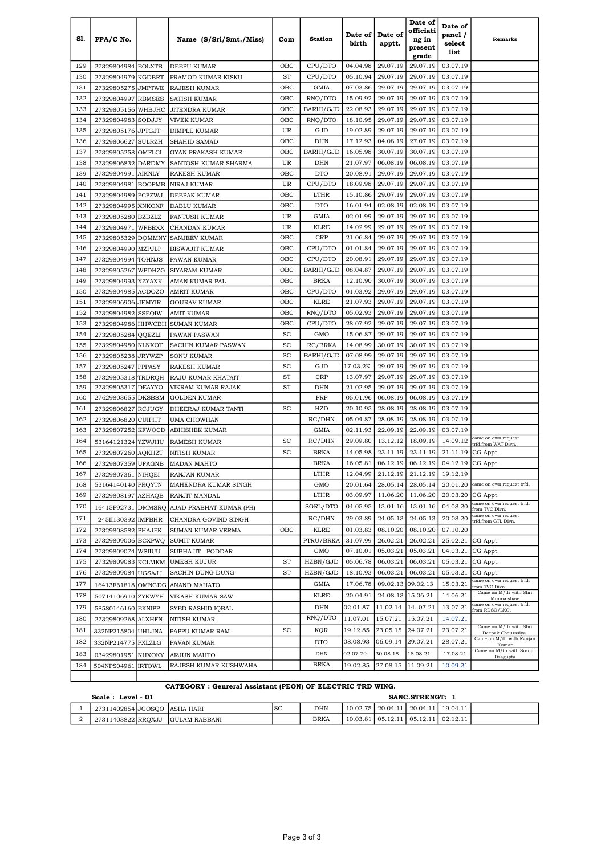|            |                            |                                |                                      |            |                      |                      |                      | Date of              | Date of              |                                                 |
|------------|----------------------------|--------------------------------|--------------------------------------|------------|----------------------|----------------------|----------------------|----------------------|----------------------|-------------------------------------------------|
| S1.        | PFA/C No.                  |                                | Name (S/Sri/Smt./Miss)               | Com        | <b>Station</b>       | Date of              | Date of              | officiati<br>ng in   | panel /              | Remarks                                         |
|            |                            |                                |                                      |            |                      | birth                | apptt.               | present              | select<br>list       |                                                 |
|            |                            |                                |                                      |            |                      |                      |                      | grade                |                      |                                                 |
| 129        | 27329804984 EOLXTB         |                                | DEEPU KUMAR                          | OBC        | CPU/DTO              | 04.04.98             | 29.07.19             | 29.07.19             | 03.07.19             |                                                 |
| 130        | 27329804979                | KGDBRT                         | PRAMOD KUMAR KISKU                   | <b>ST</b>  | CPU/DTO              | 05.10.94             | 29.07.19             | 29.07.19             | 03.07.19             |                                                 |
| 131        | 27329805275                | <b>JMPTWE</b>                  | RAJESH KUMAR                         | OBC        | GMIA                 | 07.03.86             | 29.07.19             | 29.07.19             | 03.07.19             |                                                 |
| 132<br>133 | 27329804997                | <b>RBMSES</b>                  | SATISH KUMAR                         | OBC<br>OBC | RNQ/DTO<br>BARHI/GJD | 15.09.92<br>22.08.93 | 29.07.19<br>29.07.19 | 29.07.19<br>29.07.19 | 03.07.19<br>03.07.19 |                                                 |
| 134        | 27329805156<br>27329804983 | WHBJHC<br>SQDJJY               | JITENDRA KUMAR<br><b>VIVEK KUMAR</b> | OBC        | RNO/DTO              | 18.10.95             | 29.07.19             | 29.07.19             | 03.07.19             |                                                 |
| 135        | 27329805176                | <b>JPTGJT</b>                  | <b>DIMPLE KUMAR</b>                  | UR         | GJD                  | 19.02.89             | 29.07.19             | 29.07.19             | 03.07.19             |                                                 |
| 136        | 27329806627                | <b>SULRZH</b>                  | <b>SHAHID SAMAD</b>                  | OBC        | <b>DHN</b>           | 17.12.93             | 04.08.19             | 27.07.19             | 03.07.19             |                                                 |
| 137        | 27329805258                | OMFLCI                         | GYAN PRAKASH KUMAR                   | OBC        | BARHI/GJD            | 16.05.98             | 30.07.19             | 30.07.19             | 03.07.19             |                                                 |
| 138        | 27329806832                | <b>DARDMY</b>                  | SANTOSH KUMAR SHARMA                 | UR         | DHN                  | 21.07.97             | 06.08.19             | 06.08.19             | 03.07.19             |                                                 |
| 139        | 27329804991                | <b>AIKNLY</b>                  | RAKESH KUMAR                         | OBC        | <b>DTO</b>           | 20.08.91             | 29.07.19             | 29.07.19             | 03.07.19             |                                                 |
| 140        | 27329804981                | <b>BOOFMB</b>                  | NIRAJ KUMAR                          | UR         | CPU/DTO              | 18.09.98             | 29.07.19             | 29.07.19             | 03.07.19             |                                                 |
| 141        | 27329804989                | FCFZWJ                         | DEEPAK KUMAR                         | OBC        | LTHR                 | 15.10.86             | 29.07.19             | 29.07.19             | 03.07.19             |                                                 |
| 142        | 27329804995                | <b>XNKQXF</b>                  | DABLU KUMAR                          | OBC        | <b>DTO</b>           | 16.01.94             | 02.08.19             | 02.08.19             | 03.07.19             |                                                 |
| 143        | 27329805280                | <b>BZBZLZ</b>                  | <b>FANTUSH KUMAR</b>                 | UR         | GMIA                 | 02.01.99             | 29.07.19             | 29.07.19             | 03.07.19             |                                                 |
| 144        | 27329804971                | <b>WFBEXX</b>                  | CHANDAN KUMAR                        | UR         | <b>KLRE</b>          | 14.02.99             | 29.07.19             | 29.07.19             | 03.07.19             |                                                 |
| 145        | 27329805329                |                                | DOMMNY SANJEEV KUMAR                 | OBC        | <b>CRP</b>           | 21.06.84             | 29.07.19             | 29.07.19             | 03.07.19             |                                                 |
| 146        | 27329804990                | <b>MZPJLP</b>                  | <b>BISWAJIT KUMAR</b>                | OBC        | CPU/DTO              | 01.01.84             | 29.07.19             | 29.07.19             | 03.07.19             |                                                 |
| 147        | 27329804994                | <b>TOHNJS</b>                  | PAWAN KUMAR                          | OBC        | CPU/DTO              | 20.08.91             | 29.07.19             | 29.07.19             | 03.07.19             |                                                 |
| 148        | 27329805267                | WPDHZG                         | SIYARAM KUMAR                        | OBC        | BARHI/GJD            | 08.04.87             | 29.07.19             | 29.07.19             | 03.07.19             |                                                 |
| 149        | 27329804993                | <b>XZYAXK</b>                  | AMAN KUMAR PAL                       | OBC        | BRKA                 | 12.10.90             | 30.07.19             | 30.07.19             | 03.07.19             |                                                 |
| 150        | 27329804985 ACDOZO         |                                | <b>AMRIT KUMAR</b>                   | OBC        | CPU/DTO              | 01.03.92             | 29.07.19             | 29.07.19             | 03.07.19             |                                                 |
| 151        | 27329806906                | <b>JEMYIR</b>                  | <b>GOURAV KUMAR</b>                  | OBC        | <b>KLRE</b>          | 21.07.93<br>05.02.93 | 29.07.19             | 29.07.19<br>29.07.19 | 03.07.19             |                                                 |
| 152<br>153 | 27329804982<br>27329804986 | <b>SSEQIW</b><br><b>HHWCBH</b> | AMIT KUMAR                           | OBC<br>OBC | RNQ/DTO<br>CPU/DTO   | 28.07.92             | 29.07.19<br>29.07.19 | 29.07.19             | 03.07.19<br>03.07.19 |                                                 |
| 154        | 27329805284                | QQEZLI                         | <b>SUMAN KUMAR</b><br>PAWAN PASWAN   | SC         | GMO                  | 15.06.87             | 29.07.19             | 29.07.19             | 03.07.19             |                                                 |
| 155        | 27329804980                | <b>NLNXOT</b>                  | SACHIN KUMAR PASWAN                  | SC         | RC/BRKA              | 14.08.99             | 30.07.19             | 30.07.19             | 03.07.19             |                                                 |
| 156        | 27329805238                | <b>JRYWZP</b>                  | SONU KUMAR                           | SC         | BARHI/GJD            | 07.08.99             | 29.07.19             | 29.07.19             | 03.07.19             |                                                 |
| 157        | 27329805247                | <b>PPPASY</b>                  | RAKESH KUMAR                         | SC         | GJD                  | 17.03.2K             | 29.07.19             | 29.07.19             | 03.07.19             |                                                 |
| 158        | 27329805318                | TRDRQH                         | RAJU KUMAR KHATAIT                   | <b>ST</b>  | <b>CRP</b>           | 13.07.97             | 29.07.19             | 29.07.19             | 03.07.19             |                                                 |
| 159        | 27329805317                | <b>DEAYYO</b>                  | VIKRAM KUMAR RAJAK                   | ST         | DHN                  | 21.02.95             | 29.07.19             | 29.07.19             | 03.07.19             |                                                 |
| 160        | 27629803655                | <b>DKSBSM</b>                  | <b>GOLDEN KUMAR</b>                  |            | PRP                  | 05.01.96             | 06.08.19             | 06.08.19             | 03.07.19             |                                                 |
| 161        | 27329806827                | <b>RCJUGY</b>                  | DHEERAJ KUMAR TANTI                  | SC         | HZD                  | 20.10.93             | 28.08.19             | 28.08.19             | 03.07.19             |                                                 |
| 162        | 27329806820                | <b>CUIPHT</b>                  | UMA CHOWHAN                          |            | RC/DHN               | 05.04.87             | 28.08.19             | 28.08.19             | 03.07.19             |                                                 |
| 163        | 27329807252                | <b>KFWOCD</b>                  | <b>ABHISHEK KUMAR</b>                |            | GMIA                 | 02.11.93             | 22.09.19             | 22.09.19             | 03.07.19             |                                                 |
| 164        | 53164121324 YZWJHU         |                                | RAMESH KUMAR                         | SC         | RC/DHN               | 29.09.80             | 13.12.12             | 18.09.19             | 14.09.12             | came on own request<br>trfd.from WAT Divn.      |
| 165        | 27329807260                | <b>AQKHZT</b>                  | <b>NITISH KUMAR</b>                  | SC         | <b>BRKA</b>          | 14.05.98             | 23.11.19             | 23.11.19             | 21.11.19             | CG Appt.                                        |
| 166        | 27329807359                | <b>UFAGNB</b>                  | <b>MADAN MAHTO</b>                   |            | BRKA                 | 16.05.81             | 06.12.19             | 06.12.19             | 04.12.19 CG Appt.    |                                                 |
| 167        | 27329807361 NIHQEI         |                                | RANJAN KUMAR                         |            | LTHR                 | 12.04.99             | 21.12.19             | 21.12.19             | 19.12.19             |                                                 |
| 168        | 53164140140 PRQYTN         |                                | MAHENDRA KUMAR SINGH                 |            | GMO                  | 20.01.64             | 28.05.14             | 28.05.14             |                      | 20.01.20 came on own request trfd.              |
| 169        | 27329808197                | <b>AZHAQB</b>                  | RANJIT MANDAL                        |            | LTHR                 | 03.09.97             | 11.06.20             | 11.06.20             | 20.03.20             | CG Appt.<br>came on own request trfd.           |
| 170        | 16415F92731                |                                | DMMSRQ AJAD PRABHAT KUMAR (PH)       |            | SGRL/DTO             | 04.05.95             | 13.01.16             | 13.01.16             | 04.08.20             | from TVC Divn.<br>came on own request           |
| 171        | 245II130392                | <b>IMFBHR</b>                  | CHANDRA GOVIND SINGH                 |            | RC/DHN               | 29.03.89             | 24.05.13             | 24.05.13             | 20.08.20             | trfd.from GTL Divn.                             |
| 172        | 27329808582                | PHAJFK                         | SUMAN KUMAR VERMA                    | OBC        | <b>KLRE</b>          | 01.03.83             | 08.10.20             | 08.10.20             | 07.10.20             |                                                 |
| 173        | 27329809006 BCXPWQ         |                                | <b>SUMIT KUMAR</b>                   |            | PTRU/BRKA            | 31.07.99             | 26.02.21             | 26.02.21             |                      | 25.02.21 CG Appt.                               |
| 174        | 27329809074                | WSIIUU                         | SUBHAJIT PODDAR                      |            | GMO                  | 07.10.01             | 05.03.21             | 05.03.21             | 04.03.21 CG Appt.    |                                                 |
| 175        | 27329809083                | <b>KCLMKM</b>                  | <b>UMESH KUJUR</b>                   | ST         | HZBN/GJD             | 05.06.78             | 06.03.21             | 06.03.21<br>06.03.21 | 05.03.21             | CG Appt.                                        |
| 176        | 27329809084                | <b>UGSAJJ</b>                  | SACHIN DUNG DUNG                     | <b>ST</b>  | HZBN/GJD             | 18.10.93             | 06.03.21             |                      | 05.03.21             | CG Appt.<br>came on own request trfd.           |
| 177        |                            |                                | 16413F61818 OMNGDG ANAND MAHATO      |            | GMIA                 | 17.06.78             | 09.02.13 09.02.13    |                      | 15.03.21             | from TVC Divn.<br>Came on M/tfr with Shri       |
| 178        | 50714106910 ZYKWYH         |                                | <b>VIKASH KUMAR SAW</b>              |            | <b>KLRE</b>          | 20.04.91             | 24.08.13 15.06.21    |                      | 14.06.21             | Munna shaw<br>came on own request trfd.         |
| 179        | 58580146160                | <b>EKNIPP</b>                  | SYED RASHID IQBAL                    |            | DHN                  | 02.01.87             | 11.02.14             | 1407.21              | 13.07.21             | from RDSO/LKO.                                  |
| 180        | 27329809268                | <b>ALXHFN</b>                  | NITISH KUMAR                         |            | RNQ/DTO              | 11.07.01             | 15.07.21             | 15.07.21             | 14.07.21             | Came on M/tfr with Shri                         |
| 181        | 332NP215804                | <b>UHLJNA</b>                  | PAPPU KUMAR RAM                      | SC         | KQR                  | 19.12.85             | 23.05.15             | 24.07.21             | 23.07.21             | Deepak Chourasiya.<br>Came on M/tfr with Ranjan |
| 182        | 332NP214775                | PXLZLG                         | PAVAN KUMAR                          |            | <b>DTO</b>           | 08.08.93             | 06.09.14             | 29.07.21             | 28.07.21             | Kumar<br>Came on M/tfr with Surojit             |
| 183        | 03429801951                | <b>NHXOKY</b>                  | <b>ARJUN MAHTO</b>                   |            | DHN                  | 02.07.79             | 30.08.18             | 18.08.21             | 17.08.21             | Dsagupta                                        |
| 184        | 504NPS04961                | <b>IRTOWL</b>                  | RAJESH KUMAR KUSHWAHA                |            | <b>BRKA</b>          | 19.02.85             | 27.08.15             | 11.09.21             | 10.09.21             |                                                 |
|            |                            |                                |                                      |            |                      |                      |                      |                      |                      |                                                 |

## CATEGORY : Genreral Assistant (PEON) OF ELECTRIC TRD WING.

| $Level - 01$<br>Scale :       |  |                |     |             | SANC.STRENGT: |          |          |                         |  |  |
|-------------------------------|--|----------------|-----|-------------|---------------|----------|----------|-------------------------|--|--|
| 27311402854 JGOSOO JASHA HARI |  |                | lsc | <b>DHN</b>  | 10.02.75      | 20.04.11 | 20.04.11 | 19.04.11                |  |  |
| 27311403822 RROXJJ            |  | IGULAM RABBANI |     | <b>BRKA</b> | 10.03.81      | 05.12.11 | 05.12.1  | $^{\circ}$ 11 02.12.11. |  |  |